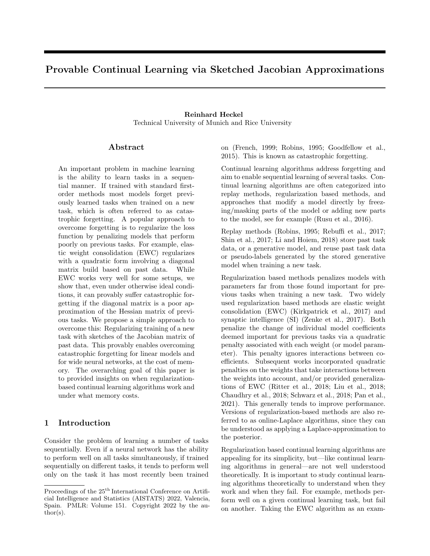# Provable Continual Learning via Sketched Jacobian Approximations

## Reinhard Heckel Technical University of Munich and Rice University

### Abstract

An important problem in machine learning is the ability to learn tasks in a sequential manner. If trained with standard firstorder methods most models forget previously learned tasks when trained on a new task, which is often referred to as catastrophic forgetting. A popular approach to overcome forgetting is to regularize the loss function by penalizing models that perform poorly on previous tasks. For example, elastic weight consolidation (EWC) regularizes with a quadratic form involving a diagonal matrix build based on past data. While EWC works very well for some setups, we show that, even under otherwise ideal conditions, it can provably suffer catastrophic forgetting if the diagonal matrix is a poor approximation of the Hessian matrix of previous tasks. We propose a simple approach to overcome this: Regularizing training of a new task with sketches of the Jacobian matrix of past data. This provably enables overcoming catastrophic forgetting for linear models and for wide neural networks, at the cost of memory. The overarching goal of this paper is to provided insights on when regularizationbased continual learning algorithms work and under what memory costs.

## 1 Introduction

Consider the problem of learning a number of tasks sequentially. Even if a neural network has the ability to perform well on all tasks simultaneously, if trained sequentially on different tasks, it tends to perform well only on the task it has most recently been trained on (French, 1999; Robins, 1995; Goodfellow et al., 2015). This is known as catastrophic forgetting.

Continual learning algorithms address forgetting and aim to enable sequential learning of several tasks. Continual learning algorithms are often categorized into replay methods, regularization based methods, and approaches that modify a model directly by freezing/masking parts of the model or adding new parts to the model, see for example (Rusu et al., 2016).

Replay methods (Robins, 1995; Rebuffi et al., 2017; Shin et al., 2017; Li and Hoiem, 2018) store past task data, or a generative model, and reuse past task data or pseudo-labels generated by the stored generative model when training a new task.

Regularization based methods penalizes models with parameters far from those found important for previous tasks when training a new task. Two widely used regularization based methods are elastic weight consolidation (EWC) (Kirkpatrick et al., 2017) and synaptic intelligence (SI) (Zenke et al., 2017). Both penalize the change of individual model coefficients deemed important for previous tasks via a quadratic penalty associated with each weight (or model parameter). This penalty ignores interactions between coefficients. Subsequent works incorporated quadratic penalties on the weights that take interactions between the weights into account, and/or provided generalizations of EWC (Ritter et al., 2018; Liu et al., 2018; Chaudhry et al., 2018; Schwarz et al., 2018; Pan et al., 2021). This generally tends to improve performance. Versions of regularization-based methods are also referred to as online-Laplace algorithms, since they can be understood as applying a Laplace-approximation to the posterior.

Regularization based continual learning algorithms are appealing for its simplicity, but—like continual learning algorithms in general—are not well understood theoretically. It is important to study continual learning algorithms theoretically to understand when they work and when they fail. For example, methods perform well on a given continual learning task, but fail on another. Taking the EWC algorithm as an exam-

Proceedings of the  $25<sup>th</sup>$  International Conference on Artificial Intelligence and Statistics (AISTATS) 2022, Valencia, Spain. PMLR: Volume 151. Copyright 2022 by the au- $\text{thor}(s)$ .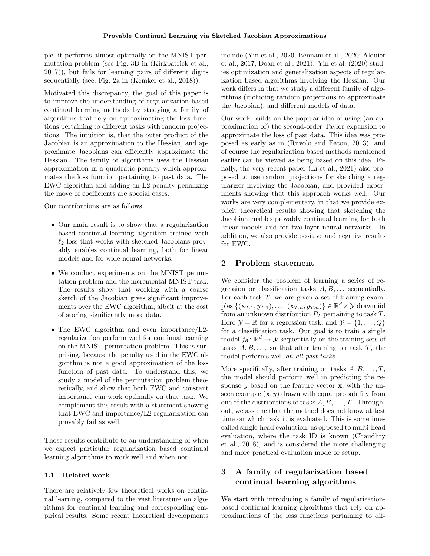ple, it performs almost optimally on the MNIST permutation problem (see Fig. 3B in (Kirkpatrick et al., 2017)), but fails for learning pairs of different digits sequentially (see. Fig. 2a in (Kemker et al., 2018)).

Motivated this discrepancy, the goal of this paper is to improve the understanding of regularization based continual learning methods by studying a family of algorithms that rely on approximating the loss functions pertaining to different tasks with random projections. The intuition is, that the outer product of the Jacobian is an approximation to the Hessian, and approximate Jacobians can efficiently approximate the Hessian. The family of algorithms uses the Hessian approximation in a quadratic penalty which approximates the loss function pertaining to past data. The EWC algorithm and adding an L2-penalty penalizing the move of coefficients are special cases.

Our contributions are as follows:

- Our main result is to show that a regularization based continual learning algorithm trained with  $\ell_2$ -loss that works with sketched Jacobians provably enables continual learning, both for linear models and for wide neural networks.
- We conduct experiments on the MNIST permutation problem and the incremental MNIST task. The results show that working with a coarse sketch of the Jacobian gives significant improvements over the EWC algorithm, albeit at the cost of storing significantly more data.
- The EWC algorithm and even importance/L2regularization perform well for continual learning on the MNIST permutation problem. This is surprising, because the penalty used in the EWC algorithm is not a good approximation of the loss function of past data. To understand this, we study a model of the permutation problem theoretically, and show that both EWC and constant importance can work optimally on that task. We complement this result with a statement showing that EWC and importance/L2-regularization can provably fail as well.

Those results contribute to an understanding of when we expect particular regularization based continual learning algorithms to work well and when not.

#### 1.1 Related work

There are relatively few theoretical works on continual learning, compared to the vast literature on algorithms for continual learning and corresponding empirical results. Some recent theoretical developments include (Yin et al., 2020; Bennani et al., 2020; Alquier et al., 2017; Doan et al., 2021). Yin et al. (2020) studies optimization and generalization aspects of regularization based algorithms involving the Hessian. Our work differs in that we study a different family of algorithms (including random projections to approximate the Jacobian), and different models of data.

Our work builds on the popular idea of using (an approximation of) the second-order Taylor expansion to approximate the loss of past data. This idea was proposed as early as in (Ruvolo and Eaton, 2013), and of course the regularization based methods mentioned earlier can be viewed as being based on this idea. Finally, the very recent paper (Li et al., 2021) also proposed to use random projections for sketching a regularizer involving the Jacobian, and provided experiments showing that this approach works well. Our works are very complementary, in that we provide explicit theoretical results showing that sketching the Jacobian enables provably continual learning for both linear models and for two-layer neural networks. In addition, we also provide positive and negative results for EWC.

### 2 Problem statement

We consider the problem of learning a series of regression or classification tasks  $A, B, \ldots$  sequentially. For each task  $T$ , we are given a set of training examples  $\{(\mathbf{x}_{T,1}, y_{T,1}), \ldots, (\mathbf{x}_{T,n}, y_{T,n})\} \in \mathbb{R}^d \times \mathcal{Y}$  drawn iid from an unknown distribution  $P_T$  pertaining to task T. Here  $\mathcal{Y} = \mathbb{R}$  for a regression task, and  $\mathcal{Y} = \{1, \ldots, Q\}$ for a classification task. Our goal is to train a single model  $f_{\theta} \colon \mathbb{R}^d \to \mathcal{Y}$  sequentially on the training sets of tasks  $A, B, \ldots$ , so that after training on task  $T$ , the model performs well on all past tasks.

More specifically, after training on tasks  $A, B, \ldots, T$ , the model should perform well in predicting the response  $y$  based on the feature vector  $x$ , with the unseen example  $(x, y)$  drawn with equal probability from one of the distributions of tasks  $A, B, \ldots, T$ . Throughout, we assume that the method does not know at test time on which task it is evaluated. This is sometimes called single-head evaluation, as opposed to multi-head evaluation, where the task ID is known (Chaudhry et al., 2018), and is considered the more challenging and more practical evaluation mode or setup.

## 3 A family of regularization based continual learning algorithms

We start with introducing a family of regularizationbased continual learning algorithms that rely on approximations of the loss functions pertaining to dif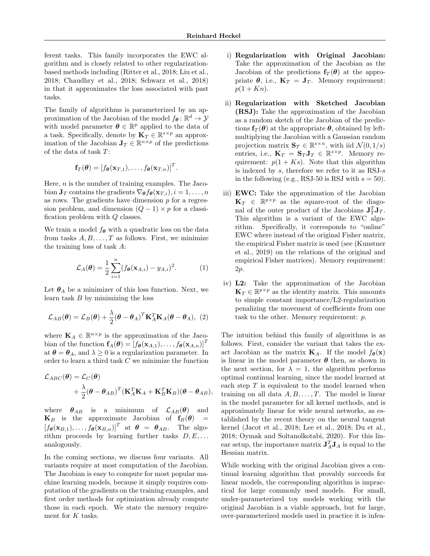ferent tasks. This family incorporates the EWC algorithm and is closely related to other regularizationbased methods including (Ritter et al., 2018; Liu et al., 2018; Chaudhry et al., 2018; Schwarz et al., 2018) in that it approximates the loss associated with past tasks.

The family of algorithms is parameterized by an approximation of the Jacobian of the model  $f_{\theta} \colon \mathbb{R}^d \to \mathcal{Y}$ with model parameter  $\boldsymbol{\theta} \in \mathbb{R}^p$  applied to the data of a task. Specifically, denote by  $\mathbf{K}_T \in \mathbb{R}^{s \times p}$  an approximation of the Jacobian  $J_T \in \mathbb{R}^{n \times p}$  of the predictions of the data of task T:

$$
\mathbf{f}_T(\boldsymbol{\theta}) = [f_{\boldsymbol{\theta}}(\mathbf{x}_{T,1}), \ldots, f_{\boldsymbol{\theta}}(\mathbf{x}_{T,n})]^T.
$$

Here,  $n$  is the number of training examples. The Jacobian  $\mathbf{J}_T$  contains the gradients  $\nabla_{\theta} f_{\theta}(\mathbf{x}_{T,i}), i = 1, \ldots, n$ as rows. The gradients have dimension  $p$  for a regression problem, and dimension  $(Q-1) \times p$  for a classification problem with Q classes.

We train a model  $f_{\theta}$  with a quadratic loss on the data from tasks  $A, B, \ldots, T$  as follows. First, we minimize the training loss of task A:

$$
\mathcal{L}_A(\boldsymbol{\theta}) = \frac{1}{2} \sum_{i=1}^n (f_{\boldsymbol{\theta}}(\mathbf{x}_{A,i}) - y_{A,i})^2.
$$
 (1)

Let  $\theta_A$  be a minimizer of this loss function. Next, we learn task  $B$  by minimizing the loss

$$
\mathcal{L}_{AB}(\boldsymbol{\theta}) = \mathcal{L}_{B}(\boldsymbol{\theta}) + \frac{\lambda}{2} (\boldsymbol{\theta} - \boldsymbol{\theta}_{A})^{T} \mathbf{K}_{A}^{T} \mathbf{K}_{A}(\boldsymbol{\theta} - \boldsymbol{\theta}_{A}), (2)
$$

where  $\mathbf{K}_A \in \mathbb{R}^{n \times p}$  is the approximation of the Jacobian of the function  $f_A(\theta) = [f_{\theta}(\mathbf{x}_{A,1}), \dots, f_{\theta}(\mathbf{x}_{A,n})]^T$ at  $\theta = \theta_A$ , and  $\lambda \geq 0$  is a regularization parameter. In order to learn a third task C we minimize the function

$$
\mathcal{L}_{ABC}(\boldsymbol{\theta}) = \mathcal{L}_{C}(\boldsymbol{\theta})
$$
  
+  $\frac{\lambda}{2}(\boldsymbol{\theta} - \boldsymbol{\theta}_{AB})^T (\mathbf{K}_A^T \mathbf{K}_A + \mathbf{K}_B^T \mathbf{K}_B)(\boldsymbol{\theta} - \boldsymbol{\theta}_{AB}),$ 

where  $\theta_{AB}$  is a minimum of  $\mathcal{L}_{AB}(\theta)$  and  $\mathbf{K}_B$  is the approximate Jacobian of  $\mathbf{f}_B(\theta)$  =  $[f_{\theta}(\mathbf{x}_{B,1}), \ldots, f_{\theta}(\mathbf{x}_{B,n})]^T$  at  $\theta = \theta_{AB}$ . The algorithm proceeds by learning further tasks  $D, E, \ldots$ analogously.

In the coming sections, we discuss four variants. All variants require at most computation of the Jacobian. The Jacobian is easy to compute for most popular machine learning models, because it simply requires computation of the gradients on the training examples, and first order methods for optimization already compute those in each epoch. We state the memory requirement for  $K$  tasks.

- i) Regularization with Original Jacobian: Take the approximation of the Jacobian as the Jacobian of the predictions  $f_T(\theta)$  at the appropriate  $\theta$ , i.e.,  $\mathbf{K}_T = \mathbf{J}_T$ . Memory requirement:  $p(1 + Kn)$ .
- ii) Regularization with Sketched Jacobian (RSJ): Take the approximation of the Jacobian as a random sketch of the Jacobian of the predictions  $f_T(\theta)$  at the appropriate  $\theta$ , obtained by leftmultiplying the Jacobian with a Gaussian random projection matrix  $\mathbf{S}_T \in \mathbb{R}^{s \times n}$ , with iid  $\mathcal{N}(0, 1/s)$ entries, i.e.,  $\mathbf{K}_T = \mathbf{S}_T \mathbf{J}_T \in \mathbb{R}^{s \times p}$ . Memory requirement:  $p(1 + Ks)$ . Note that this algorithm is indexed by  $s$ , therefore we refer to it as RSJ- $s$ in the following (e.g., RSJ-50 is RSJ with  $s = 50$ ).
- iii) EWC: Take the approximation of the Jacobian  $\mathbf{K}_T \in \mathbb{R}^{p \times p}$  as the square-root of the diagonal of the outer product of the Jacobians  $J_T^T J_T$ . This algorithm is a variant of the EWC algorithm. Specifically, it corresponds to "online" EWC where instead of the original Fisher matrix, the empirical Fisher matrix is used (see (Kunstner et al., 2019) on the relations of the original and empirical Fisher matrices). Memory requirement: 2p.
- iv) L2: Take the approximation of the Jacobian  $\mathbf{K}_T \in \mathbb{R}^{p \times p}$  as the identity matrix. This amounts to simple constant importance/L2-regularization penalizing the movement of coefficients from one task to the other. Memory requirement: p.

The intuition behind this family of algorithms is as follows. First, consider the variant that takes the exact Jacobian as the matrix  $\mathbf{K}_A$ . If the model  $f_{\theta}(\mathbf{x})$ is linear in the model parameter  $\theta$  then, as shown in the next section, for  $\lambda = 1$ , the algorithm performs optimal continual learning, since the model learned at each step  $T$  is equivalent to the model learned when training on all data  $A, B, \ldots, T$ . The model is linear in the model parameter for all kernel methods, and is approximately linear for wide neural networks, as established by the recent theory on the neural tangent kernel (Jacot et al., 2018; Lee et al., 2018; Du et al., 2018; Oymak and Soltanolkotabi, 2020). For this linear setup, the importance matrix  $\mathbf{J}_A^T \mathbf{J}_A$  is equal to the Hessian matrix.

While working with the original Jacobian gives a continual learning algorithm that provably succeeds for linear models, the corresponding algorithm is impractical for large commonly used models. For small, under-parameterized toy models working with the original Jacobian is a viable approach, but for large, over-parameterized models used in practice it is infea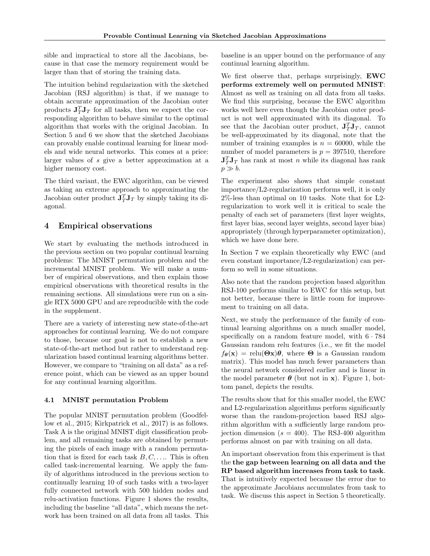sible and impractical to store all the Jacobians, because in that case the memory requirement would be larger than that of storing the training data.

The intuition behind regularization with the sketched Jacobian (RSJ algorithm) is that, if we manage to obtain accurate approximation of the Jacobian outer products  $\mathbf{J}_T^T \mathbf{J}_T$  for all tasks, then we expect the corresponding algorithm to behave similar to the optimal algorithm that works with the original Jacobian. In Section 5 and 6 we show that the sketched Jacobians can provably enable continual learning for linear models and wide neural networks. This comes at a price: larger values of s give a better approximation at a higher memory cost.

The third variant, the EWC algorithm, can be viewed as taking an extreme approach to approximating the Jacobian outer product  $\mathbf{J}_T^T \mathbf{J}_T$  by simply taking its diagonal.

## 4 Empirical observations

We start by evaluating the methods introduced in the previous section on two popular continual learning problems: The MNIST permutation problem and the incremental MNIST problem. We will make a number of empirical observations, and then explain those empirical observations with theoretical results in the remaining sections. All simulations were run on a single RTX 5000 GPU and are reproducible with the code in the supplement.

There are a variety of interesting new state-of-the-art approaches for continual learning. We do not compare to those, because our goal is not to establish a new state-of-the-art method but rather to understand regularization based continual learning algorithms better. However, we compare to "training on all data" as a reference point, which can be viewed as an upper bound for any continual learning algorithm.

#### 4.1 MNIST permutation Problem

The popular MNIST permutation problem (Goodfellow et al., 2015; Kirkpatrick et al., 2017) is as follows. Task A is the original MNIST digit classification problem, and all remaining tasks are obtained by permuting the pixels of each image with a random permutation that is fixed for each task  $B, C, \ldots$ . This is often called task-incremental learning. We apply the family of algorithms introduced in the previous section to continually learning 10 of such tasks with a two-layer fully connected network with 500 hidden nodes and relu-activation functions. Figure 1 shows the results, including the baseline "all data", which means the network has been trained on all data from all tasks. This baseline is an upper bound on the performance of any continual learning algorithm.

We first observe that, perhaps surprisingly, EWC performs extremely well on permuted MNIST: Almost as well as training on all data from all tasks. We find this surprising, because the EWC algorithm works well here even though the Jacobian outer product is not well approximated with its diagonal. To see that the Jacobian outer product,  $J_T^T J_T$ , cannot be well-approximated by its diagonal, note that the number of training examples is  $n = 60000$ , while the number of model parameters is  $p = 397510$ , therefore  $\mathbf{J}_T^T \mathbf{J}_T$  has rank at most n while its diagonal has rank  $p \gg b$ .

The experiment also shows that simple constant importance/L2-regularization performs well, it is only 2%-less than optimal on 10 tasks. Note that for L2 regularization to work well it is critical to scale the penalty of each set of parameters (first layer weights, first layer bias, second layer weights, second layer bias) appropriately (through hyperparameter optimization), which we have done here.

In Section 7 we explain theoretically why EWC (and even constant importance/L2-regularization) can perform so well in some situations.

Also note that the random projection based algorithm RSJ-100 performs similar to EWC for this setup, but not better, because there is little room for improvement to training on all data.

Next, we study the performance of the family of continual learning algorithms on a much smaller model, specifically on a random feature model, with  $6 \cdot 784$ Gaussian random relu features (i.e., we fit the model  $f_{\theta}(\mathbf{x}) = \text{relu}(\Theta \mathbf{x})\theta$ , where  $\Theta$  is a Gaussian random matrix). This model has much fewer parameters than the neural network considered earlier and is linear in the model parameter  $\boldsymbol{\theta}$  (but not in x). Figure 1, bottom panel, depicts the results.

The results show that for this smaller model, the EWC and L2-regularization algorithms perform significantly worse than the random-projection based RSJ algorithm algorithm with a sufficiently large random projection dimension ( $s = 400$ ). The RSJ-400 algorithm performs almost on par with training on all data.

An important observation from this experiment is that the the gap between learning on all data and the RP based algorithm increases from task to task. That is intuitively expected because the error due to the approximate Jacobians accumulates from task to task. We discuss this aspect in Section 5 theoretically.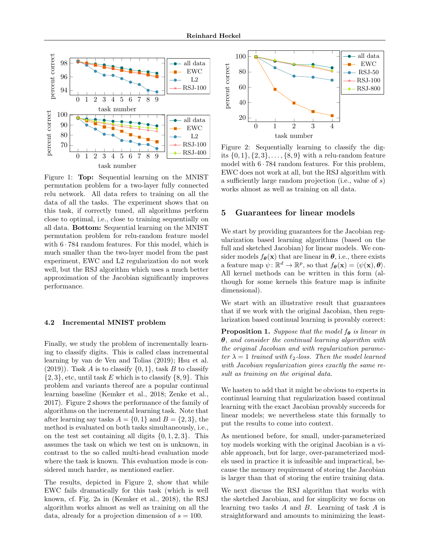

Figure 1: Top: Sequential learning on the MNIST permutation problem for a two-layer fully connected relu network. All data refers to training on all the data of all the tasks. The experiment shows that on this task, if correctly tuned, all algorithms perform close to optimal, i.e., close to training sequentially on all data. Bottom: Sequential learning on the MNIST permutation problem for relu-random feature model with  $6 \cdot 784$  random features. For this model, which is much smaller than the two-layer model from the past experiment, EWC and L2 regularization do not work well, but the RSJ algorithm which uses a much better approximation of the Jacobian significantly improves performance.

#### 4.2 Incremental MNIST problem

Finally, we study the problem of incrementally learning to classify digits. This is called class incremental learning by van de Ven and Tolias (2019); Hsu et al.  $(2019)$ ). Task A is to classify  $\{0,1\}$ , task B to classify  $\{2,3\}$ , etc, until task E which is to classify  $\{8,9\}$ . This problem and variants thereof are a popular continual learning baseline (Kemker et al., 2018; Zenke et al., 2017). Figure 2 shows the performance of the family of algorithms on the incremental learning task. Note that after learning say tasks  $A = \{0, 1\}$  and  $B = \{2, 3\}$ , the method is evaluated on both tasks simultaneously, i.e., on the test set containing all digits  $\{0, 1, 2, 3\}$ . This assumes the task on which we test on is unknown, in contrast to the so called multi-head evaluation mode where the task is known. This evaluation mode is considered much harder, as mentioned earlier.

The results, depicted in Figure 2, show that while EWC fails dramatically for this task (which is well known, cf. Fig. 2a in (Kemker et al., 2018), the RSJ algorithm works almost as well as training on all the data, already for a projection dimension of  $s = 100$ .



Figure 2: Sequentially learning to classify the digits  $\{0, 1\}, \{2, 3\}, \ldots, \{8, 9\}$  with a relu-random feature model with  $6 \cdot 784$  random features. For this problem, EWC does not work at all, but the RSJ algorithm with a sufficiently large random projection (i.e., value of s) works almost as well as training on all data.

#### 5 Guarantees for linear models

We start by providing guarantees for the Jacobian regularization based learning algorithms (based on the full and sketched Jacobian) for linear models. We consider models  $f_{\theta}(\mathbf{x})$  that are linear in  $\theta$ , i.e., there exists a feature map  $\psi: \mathbb{R}^d \to \mathbb{R}^p$ , so that  $f_{\theta}(\mathbf{x}) = \langle \psi(\mathbf{x}), \theta \rangle$ . All kernel methods can be written in this form (although for some kernels this feature map is infinite dimensional).

We start with an illustrative result that guarantees that if we work with the original Jacobian, then regularization based continual learning is provably correct:

**Proposition 1.** Suppose that the model  $f_{\theta}$  is linear in  $\theta$ , and consider the continual learning algorithm with the original Jacobian and with regularization parameter  $\lambda = 1$  trained with  $\ell_2$ -loss. Then the model learned with Jacobian regularization gives exactly the same result as training on the original data.

We hasten to add that it might be obvious to experts in continual learning that regularization based continual learning with the exact Jacobian provably succeeds for linear models; we nevertheless state this formally to put the results to come into context.

As mentioned before, for small, under-parameterized toy models working with the original Jacobian is a viable approach, but for large, over-parameterized models used in practice it is infeasible and impractical, because the memory requirement of storing the Jacobian is larger than that of storing the entire training data.

We next discuss the RSJ algorithm that works with the sketched Jacobian, and for simplicity we focus on learning two tasks A and B. Learning of task A is straightforward and amounts to minimizing the least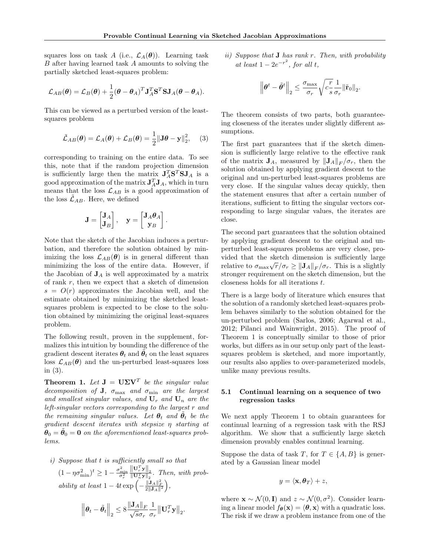squares loss on task A (i.e.,  $\mathcal{L}_A(\theta)$ ). Learning task B after having learned task A amounts to solving the partially sketched least-squares problem:

$$
\mathcal{L}_{AB}(\boldsymbol{\theta}) = \mathcal{L}_{B}(\boldsymbol{\theta}) + \frac{1}{2}(\boldsymbol{\theta} - \boldsymbol{\theta}_{A})^{T} \mathbf{J}_{A}^{T} \mathbf{S}^{T} \mathbf{S} \mathbf{J}_{A}(\boldsymbol{\theta} - \boldsymbol{\theta}_{A}).
$$

This can be viewed as a perturbed version of the leastsquares problem

$$
\tilde{\mathcal{L}}_{AB}(\boldsymbol{\theta}) = \mathcal{L}_A(\boldsymbol{\theta}) + \mathcal{L}_B(\boldsymbol{\theta}) = \frac{1}{2} ||\mathbf{J}\boldsymbol{\theta} - \mathbf{y}||_2^2, \quad (3)
$$

corresponding to training on the entire data. To see this, note that if the random projection dimension is sufficiently large then the matrix  $\mathbf{J}_A^T \mathbf{S}^T \mathbf{S} \mathbf{J}_A$  is a good approximation of the matrix  ${\bf J}_A^T{\bf J}_A$ , which in turn means that the loss  $\mathcal{L}_{AB}$  is a good approximation of the loss  $\mathcal{L}_{AB}$ . Here, we defined

$$
\mathbf{J} = \begin{bmatrix} \mathbf{J}_A \\ \mathbf{J}_B \end{bmatrix}, \quad \mathbf{y} = \begin{bmatrix} \mathbf{J}_A \boldsymbol{\theta}_A \\ \mathbf{y}_B \end{bmatrix}.
$$

Note that the sketch of the Jacobian induces a perturbation, and therefore the solution obtained by minimizing the loss  $\mathcal{L}_{AB}(\theta)$  is in general different than minimizing the loss of the entire data. However, if the Jacobian of  $J_A$  is well approximated by a matrix of rank  $r$ , then we expect that a sketch of dimension  $s = O(r)$  approximates the Jacobian well, and the estimate obtained by minimizing the sketched leastsquares problem is expected to be close to the solution obtained by minimizing the original least-squares problem.

The following result, proven in the supplement, formalizes this intuition by bounding the difference of the gradient descent iterates  $\theta_t$  and  $\tilde{\theta_t}$  on the least squares loss  $\mathcal{L}_{AB}(\theta)$  and the un-perturbed least-squares loss in (3).

**Theorem 1.** Let  $J = U\Sigma V^T$  be the singular value decomposition of **J**,  $\sigma_{\text{max}}$  and  $\sigma_{\text{min}}$  are the largest and smallest singular values, and  $U_r$  and  $U_n$  are the left-singular vectors corresponding to the largest r and the remaining singular values. Let  $\theta_t$  and  $\tilde{\theta}_t$  be the gradient descent iterates with stepsize η starting at  $\tilde{\boldsymbol{\theta}}_0 = \tilde{\boldsymbol{\theta}}_0 = \boldsymbol{0}$  on the aforementioned least-squares problems.

*i)* Suppose that *t* is sufficiently small so that  
\n
$$
(1 - \eta \sigma_{\min}^2)^t \ge 1 - \frac{\sigma_{\min}^2 ||\mathbf{U}_r^T \mathbf{y}||_2}{\sigma_r^2}.
$$
 Then, with probability at least  $1 - 4t \exp\left(-\frac{||\mathbf{J}_A||_F^2}{2||\mathbf{J}_A||^2}\right)$ ,

$$
\left\|\boldsymbol{\theta}_t - \tilde{\boldsymbol{\theta}}_t\right\|_2 \leq 8 \frac{\left\|\mathbf{J}_A\right\|_F}{\sqrt{s}\sigma_r} \frac{1}{\sigma_r} \left\|\mathbf{U}_r^T \mathbf{y}\right\|_2.
$$

ii) Suppose that **J** has rank r. Then, with probability at least  $1 - 2e^{-r^2}$ , for all t,

$$
\left\|\pmb{\theta}^{t}-\tilde{\pmb{\theta}}^{t}\right\|_2\leq \frac{\sigma_{\max}}{\sigma_r}\sqrt{c\frac{r}{s}}\frac{1}{\sigma_r}\|\tilde{\mathbf{r}}_0\|_2.
$$

The theorem consists of two parts, both guaranteeing closeness of the iterates under slightly different assumptions.

The first part guarantees that if the sketch dimension is sufficiently large relative to the effective rank of the matrix  $\mathbf{J}_A$ , measured by  $\|\mathbf{J}_A\|_F/\sigma_r$ , then the solution obtained by applying gradient descent to the original and un-perturbed least-squares problems are very close. If the singular values decay quickly, then the statement ensures that after a certain number of iterations, sufficient to fitting the singular vectors corresponding to large singular values, the iterates are close.

The second part guarantees that the solution obtained by applying gradient descent to the original and unperturbed least-squares problems are very close, provided that the sketch dimension is sufficiently large vided that the sketch dimension is sufficiently large<br>relative to  $\sigma_{\text{max}}\sqrt{r}/\sigma_r \geq ||\mathbf{J}_A||_F/\sigma_r$ . This is a slightly stronger requirement on the sketch dimension, but the closeness holds for all iterations t.

There is a large body of literature which ensures that the solution of a randomly sketched least-squares problem behaves similarly to the solution obtained for the un-perturbed problem (Sarlos, 2006; Agarwal et al., 2012; Pilanci and Wainwright, 2015). The proof of Theorem 1 is conceptually similar to those of prior works, but differs as in our setup only part of the leastsquares problem is sketched, and more importantly, our results also applies to over-parameterized models, unlike many previous results.

#### 5.1 Continual learning on a sequence of two regression tasks

We next apply Theorem 1 to obtain guarantees for continual learning of a regression task with the RSJ algorithm. We show that a sufficiently large sketch dimension provably enables continual learning.

Suppose the data of task T, for  $T \in \{A, B\}$  is generated by a Gaussian linear model

$$
y = \langle \mathbf{x}, \boldsymbol{\theta}_T \rangle + z,
$$

where  $\mathbf{x} \sim \mathcal{N}(0, \mathbf{I})$  and  $z \sim \mathcal{N}(0, \sigma^2)$ . Consider learning a linear model  $f_{\theta}(\mathbf{x}) = \langle \theta, \mathbf{x} \rangle$  with a quadratic loss. The risk if we draw a problem instance from one of the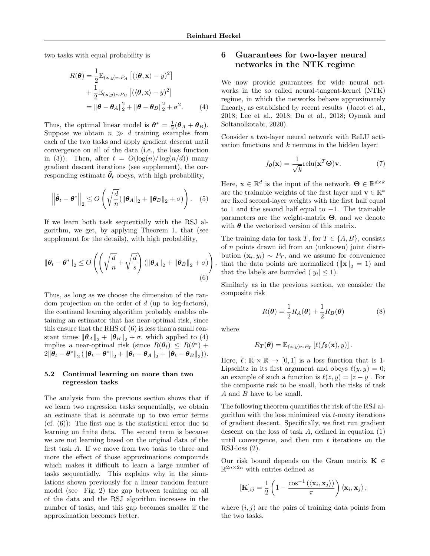two tasks with equal probability is

$$
R(\boldsymbol{\theta}) = \frac{1}{2} \mathbb{E}_{(\mathbf{x}, y) \sim P_A} [(\langle \boldsymbol{\theta}, \mathbf{x} \rangle - y)^2]
$$
  
+ 
$$
\frac{1}{2} \mathbb{E}_{(\mathbf{x}, y) \sim P_B} [(\langle \boldsymbol{\theta}, \mathbf{x} \rangle - y)^2]
$$
  
= 
$$
\|\boldsymbol{\theta} - \boldsymbol{\theta}_A\|_2^2 + \|\boldsymbol{\theta} - \boldsymbol{\theta}_B\|_2^2 + \sigma^2.
$$
 (4)

Thus, the optimal linear model is  $\boldsymbol{\theta}^* = \frac{1}{2}(\boldsymbol{\theta}_A + \boldsymbol{\theta}_B)$ . Suppose we obtain  $n \gg d$  training examples from each of the two tasks and apply gradient descent until convergence on all of the data (i.e., the loss function in (3)). Then, after  $t = O(\log(n)/\log(n/d))$  many gradient descent iterations (see supplement), the corresponding estimate  $\tilde{\theta}_t$  obeys, with high probability,

$$
\left\|\tilde{\boldsymbol{\theta}}_t - \boldsymbol{\theta}^*\right\|_2 \le O\left(\sqrt{\frac{d}{n}}(\left\|\boldsymbol{\theta}_A\right\|_2 + \left\|\boldsymbol{\theta}_B\right\|_2 + \sigma)\right). \quad (5)
$$

If we learn both task sequentially with the RSJ algorithm, we get, by applying Theorem 1, that (see supplement for the details), with high probability,

$$
\|\boldsymbol{\theta}_{t} - \boldsymbol{\theta}^{*}\|_{2} \leq O\left(\left(\sqrt{\frac{d}{n}} + \sqrt{\frac{d}{s}}\right) \left(\|\boldsymbol{\theta}_{A}\|_{2} + \|\boldsymbol{\theta}_{B}\|_{2} + \sigma\right)\right)
$$
\n(6)

Thus, as long as we choose the dimension of the random projection on the order of  $d$  (up to log-factors), the continual learning algorithm probably enables obtaining an estimator that has near-optimal risk, since this ensure that the RHS of (6) is less than a small constant times  $\|\boldsymbol{\theta}_A\|_2 + \|\boldsymbol{\theta}_B\|_2 + \sigma$ , which applied to (4) implies a near-optimal risk (since  $R(\theta_t) \leq R(\theta^*)$  +  $2\|\theta_t - \theta^*\|_2 (\|\theta_t - \theta^*\|_2 + \|\theta_t - \theta_A\|_2 + \|\theta_t - \theta_B\|_2)).$ 

#### 5.2 Continual learning on more than two regression tasks

The analysis from the previous section shows that if we learn two regression tasks sequentially, we obtain an estimate that is accurate up to two error terms  $(cf. (6))$ : The first one is the statistical error due to learning on finite data. The second term is because we are not learning based on the original data of the first task A. If we move from two tasks to three and more the effect of those approximations compounds which makes it difficult to learn a large number of tasks sequentially. This explains why in the simulations shown previously for a linear random feature model (see Fig. 2) the gap between training on all of the data and the RSJ algorithm increases in the number of tasks, and this gap becomes smaller if the approximation becomes better.

## 6 Guarantees for two-layer neural networks in the NTK regime

We now provide guarantees for wide neural networks in the so called neural-tangent-kernel (NTK) regime, in which the networks behave approximately linearly, as established by recent results (Jacot et al., 2018; Lee et al., 2018; Du et al., 2018; Oymak and Soltanolkotabi, 2020).

Consider a two-layer neural network with ReLU activation functions and  $k$  neurons in the hidden layer:

$$
f_{\theta}(\mathbf{x}) = \frac{1}{\sqrt{k}} \text{relu}(\mathbf{x}^T \Theta) \mathbf{v}.
$$
 (7)

Here,  $\mathbf{x} \in \mathbb{R}^d$  is the input of the network,  $\mathbf{\Theta} \in \mathbb{R}^{d \times k}$ are the trainable weights of the first layer and  $\mathbf{v} \in \mathbb{R}^k$ are fixed second-layer weights with the first half equal to 1 and the second half equal to  $-1$ . The trainable parameters are the weight-matrix  $\Theta$ , and we denote with  $\theta$  the vectorized version of this matrix.

that the data points are normalized  $(\Vert \mathbf{x} \Vert_2 = 1)$  and The training data for task T, for  $T \in \{A, B\}$ , consists of n points drawn iid from an (unknown) joint distribution  $(\mathbf{x}_i, y_i) \sim P_T$ , and we assume for convenience that the labels are bounded  $(|y_i| \leq 1)$ .

Similarly as in the previous section, we consider the composite risk

$$
R(\boldsymbol{\theta}) = \frac{1}{2} R_A(\boldsymbol{\theta}) + \frac{1}{2} R_B(\boldsymbol{\theta})
$$
 (8)

where

$$
R_T(\boldsymbol{\theta}) = \mathbb{E}_{(\mathbf{x},y)\sim P_T} \left[ \ell(f_{\boldsymbol{\theta}}(\mathbf{x}), y) \right].
$$

Here,  $\ell : \mathbb{R} \times \mathbb{R} \to [0, 1]$  is a loss function that is 1-Lipschitz in its first argument and obeys  $\ell(y, y) = 0$ ; an example of such a function is  $\ell(z, y) = |z - y|$ . For the composite risk to be small, both the risks of task A and B have to be small.

The following theorem quantifies the risk of the RSJ algorithm with the loss minimized via  $t$ -many iterations of gradient descent. Specifically, we first run gradient descent on the loss of task  $A$ , defined in equation  $(1)$ until convergence, and then run  $t$  iterations on the  $RSJ-loss (2).$ 

Our risk bound depends on the Gram matrix  $\mathbf{K} \in$  $\mathbb{R}^{2n \times 2n}$  with entries defined as

$$
[\mathbf{K}]_{ij} = \frac{1}{2} \left( 1 - \frac{\cos^{-1}(\langle \mathbf{x}_i, \mathbf{x}_j \rangle)}{\pi} \right) \langle \mathbf{x}_i, \mathbf{x}_j \rangle,
$$

where  $(i, j)$  are the pairs of training data points from the two tasks.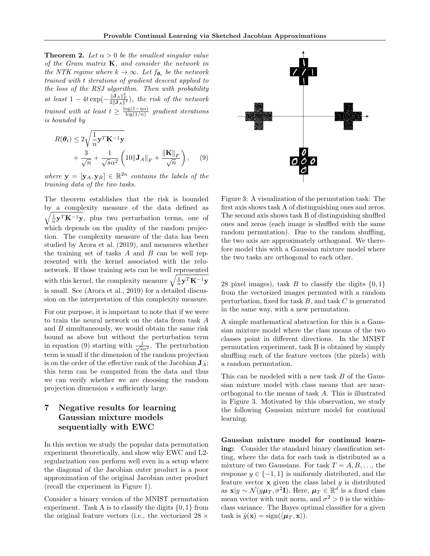**Theorem 2.** Let  $\alpha > 0$  be the smallest singular value of the Gram matrix  $K$ , and consider the network in the NTK regime where  $k \to \infty$ . Let  $f_{\theta_t}$  be the network trained with t iterations of gradient descent applied to the loss of the RSJ algorithm. Then with probability at least  $1-4t \exp(-\frac{\|\mathbf{J}_A\|_F^2}{2\|\mathbf{J}_A\|^2})$ , the risk of the network trained with at least  $t \geq \frac{\log(1-\eta\alpha)}{\log(1/n)}$  $\frac{\log(1-\eta\alpha)}{\log(1/n)}$  gradient iterations is bounded by

$$
R(\theta_t) \le 2\sqrt{\frac{1}{n}\mathbf{y}^T\mathbf{K}^{-1}\mathbf{y}}
$$
  
+  $\frac{3}{\sqrt{n}} + \frac{1}{\sqrt{s}\alpha^2} \left(10\|\mathbf{J}_A\|_F + \frac{\|\mathbf{K}\|_F}{\sqrt{n}}\right)$ , (9)

where  $\mathbf{y} = [\mathbf{y}_A, \mathbf{y}_B] \in \mathbb{R}^{2n}$  contains the labels of the training data of the two tasks.

The theorem establishes that the risk is bounded by a complexity measure of the data defined as  $\sqrt{\frac{1}{n}\mathbf{y}^T\mathbf{K}^{-1}\mathbf{y}}$ , plus two perturbation terms, one of which depends on the quality of the random projection. The complexity measure of the data has been studied by Arora et al. (2019), and measures whether the training set of tasks  $A$  and  $B$  can be well represented with the kernel associated with the relunetwork. If those training sets can be well represented with this kernel, the complexity measure  $\sqrt{\frac{1}{n} \mathbf{y}^T \mathbf{K}^{-1} \mathbf{y}}$ is small. See (Arora et al., 2019) for a detailed discussion on the interpretation of this complexity measure.

For our purpose, it is important to note that if we were to train the neural network on the data from task A and  $B$  simultaneously, we would obtain the same risk bound as above but without the perturbation term in equation (9) starting with  $\frac{1}{\sqrt{s}\alpha^2}$ . The perturbation term is small if the dimension of the random projection is on the order of the effective rank of the Jacobian  $J_A$ ; this term can be computed from the data and thus we can verify whether we are choosing the random projection dimension s sufficiently large.

## 7 Negative results for learning Gaussian mixture models sequentially with EWC

In this section we study the popular data permutation experiment theoretically, and show why EWC and L2 regularization can perform well even in a setup where the diagonal of the Jacobian outer product is a poor approximation of the original Jacobian outer product (recall the experiment in Figure 1).

Consider a binary version of the MNIST permutation experiment. Task A is to classify the digits  $\{0, 1\}$  from the original feature vectors (i.e., the vectorized  $28 \times$ 



Figure 3: A visualization of the permutation task: The first axis shows task A of distinguishing ones and zeros. The second axis shows task B of distinguishing shuffled ones and zeros (each image is shuffled with the same random permutation). Due to the random shuffling, the two axis are approximately orthogonal. We therefore model this with a Gaussian mixture model where the two tasks are orthogonal to each other.

28 pixel images), task B to classify the digits  $\{0, 1\}$ from the vectorized images permuted with a random perturbation, fixed for task  $B$ , and task  $C$  is generated in the same way, with a new permutation.

A simple mathematical abstraction for this is a Gaussian mixture model where the class means of the two classes point in different directions. In the MNIST permutation experiment, task B is obtained by simply shuffling each of the feature vectors (the pixels) with a random permutation.

This can be modeled with a new task B of the Gaussian mixture model with class means that are nearorthogonal to the means of task A. This is illustrated in Figure 3. Motivated by this observation, we study the following Gaussian mixture model for continual learning.

Gaussian mixture model for continual learning: Consider the standard binary classification setting, where the data for each task is distributed as a mixture of two Gaussians. For task  $T = A, B, \ldots$ , the response  $y \in \{-1, 1\}$  is uniformly distributed, and the feature vector  $x$  given the class label  $y$  is distributed as  $\mathbf{x}|y \sim \mathcal{N}(y\mu_T, \sigma^2 \mathbf{I}).$  Here,  $\mu_T \in \mathbb{R}^d$  is a fixed class mean vector with unit norm, and  $\sigma^2 > 0$  is the withinclass variance. The Bayes optimal classifier for a given task is  $\hat{y}(\mathbf{x}) = \text{sign}(\langle \boldsymbol{\mu}_T, \mathbf{x} \rangle).$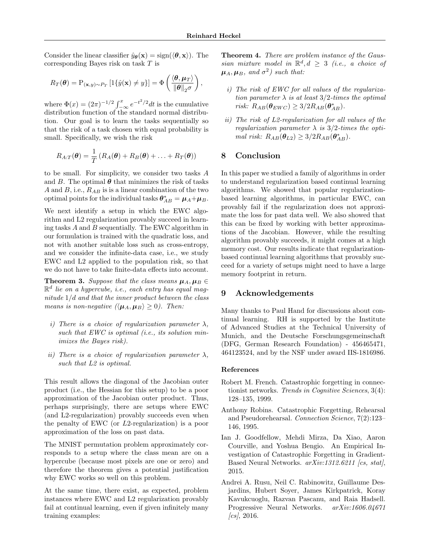Consider the linear classifier  $\hat{y}_{\theta}(\mathbf{x}) = \text{sign}(\langle \theta, \mathbf{x} \rangle)$ . The corresponding Bayes risk on task T is

$$
R_T(\boldsymbol{\theta}) = \mathrm{P}_{(\mathbf{x},y)\sim P_T} \left[ \mathbb{1}\{\hat{y}(\mathbf{x}) \neq y\} \right] = \Phi\left(\frac{\langle \boldsymbol{\theta}, \boldsymbol{\mu}_T \rangle}{\|\boldsymbol{\theta}\|_2 \sigma}\right),
$$

where  $\Phi(x) = (2\pi)^{-1/2} \int_{-\infty}^{x} e^{-t^2/2} dt$  is the cumulative distribution function of the standard normal distribution. Our goal is to learn the tasks sequentially so that the risk of a task chosen with equal probability is small. Specifically, we wish the risk

$$
R_{A:T}(\boldsymbol{\theta}) = \frac{1}{T} (R_A(\boldsymbol{\theta}) + R_B(\boldsymbol{\theta}) + \ldots + R_T(\boldsymbol{\theta}))
$$

to be small. For simplicity, we consider two tasks A and B. The optimal  $\theta$  that minimizes the risk of tasks A and B, i.e.,  $R_{AB}$  is is a linear combination of the two optimal points for the individual tasks  $\boldsymbol{\theta}_{AB}^* = \boldsymbol{\mu}_A + \boldsymbol{\mu}_B$ .

We next identify a setup in which the EWC algorithm and L2 regularization provably succeed in learning tasks A and B sequentially. The EWC algorithm in our formulation is trained with the quadratic loss, and not with another suitable loss such as cross-entropy, and we consider the infinite-data case, i.e., we study EWC and L2 applied to the population risk, so that we do not have to take finite-data effects into account.

**Theorem 3.** Suppose that the class means  $\mu_A, \mu_B \in$  $\mathbb{R}^d$  lie on a hypercube, i.e., each entry has equal magnitude  $1/d$  and that the inner product between the class means is non-negative  $\langle \mu_A, \mu_B \rangle \geq 0$ ). Then:

- i) There is a choice of regularization parameter  $\lambda$ , such that  $EWC$  is optimal (i.e., its solution minimizes the Bayes risk).
- ii) There is a choice of regularization parameter  $\lambda$ , such that  $L2$  is optimal.

This result allows the diagonal of the Jacobian outer product (i.e., the Hessian for this setup) to be a poor approximation of the Jacobian outer product. Thus, perhaps surprisingly, there are setups where EWC (and L2-regularization) provably succeeds even when the penalty of EWC (or L2-regularization) is a poor approximation of the loss on past data.

The MNIST permutation problem approximately corresponds to a setup where the class mean are on a hypercube (because most pixels are one or zero) and therefore the theorem gives a potential justification why EWC works so well on this problem.

At the same time, there exist, as expected, problem instances where EWC and L2 regularization provably fail at continual learning, even if given infinitely many training examples:

Theorem 4. There are problem instance of the Gaussian mixture model in  $\mathbb{R}^d, d \geq 3$  (i.e., a choice of  $\mu_A, \mu_B$ , and  $\sigma^2$ ) such that:

- i) The risk of EWC for all values of the regularization parameter  $\lambda$  is at least 3/2-times the optimal risk:  $R_{AB}(\theta_{EWC}) \geq 3/2R_{AB}(\theta_{AB}^*).$
- ii) The risk of L2-regularization for all values of the regularization parameter  $\lambda$  is 3/2-times the optimal risk:  $R_{AB}(\theta_{L2}) \geq 3/2R_{AB}(\theta_{AB}^*)$ .

## 8 Conclusion

In this paper we studied a family of algorithms in order to understand regularization based continual learning algorithms. We showed that popular regularizationbased learning algorithms, in particular EWC, can provably fail if the regularization does not approximate the loss for past data well. We also showed that this can be fixed by working with better approximations of the Jacobian. However, while the resulting algorithm provably succeeds, it might comes at a high memory cost. Our results indicate that regularizationbased continual learning algorithms that provably succeed for a variety of setups might need to have a large memory footprint in return.

## 9 Acknowledgements

Many thanks to Paul Hand for discussions about continual learning. RH is supported by the Institute of Advanced Studies at the Technical University of Munich, and the Deutsche Forschungsgemeinschaft (DFG, German Research Foundation) - 456465471, 464123524, and by the NSF under award IIS-1816986.

#### References

- Robert M. French. Catastrophic forgetting in connectionist networks. Trends in Cognitive Sciences, 3(4): 128–135, 1999.
- Anthony Robins. Catastrophic Forgetting, Rehearsal and Pseudorehearsal. Connection Science, 7(2):123– 146, 1995.
- Ian J. Goodfellow, Mehdi Mirza, Da Xiao, Aaron Courville, and Yoshua Bengio. An Empirical Investigation of Catastrophic Forgetting in Gradient-Based Neural Networks.  $arXiv:1312.6211$  [cs, stat], 2015.
- Andrei A. Rusu, Neil C. Rabinowitz, Guillaume Desjardins, Hubert Soyer, James Kirkpatrick, Koray Kavukcuoglu, Razvan Pascanu, and Raia Hadsell. Progressive Neural Networks. arXiv:1606.04671  $\sqrt{cs}$ , 2016.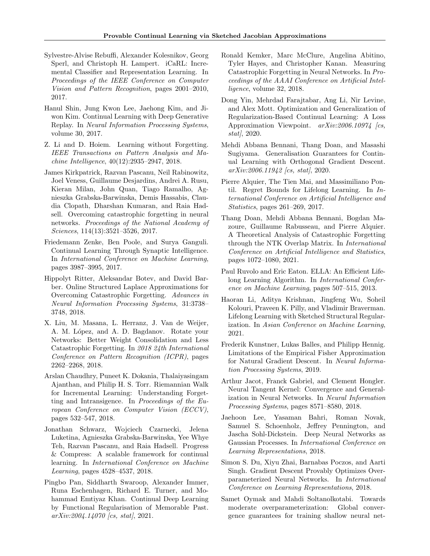- Sylvestre-Alvise Rebuffi, Alexander Kolesnikov, Georg Sperl, and Christoph H. Lampert. iCaRL: Incremental Classifier and Representation Learning. In Proceedings of the IEEE Conference on Computer Vision and Pattern Recognition, pages 2001–2010, 2017.
- Hanul Shin, Jung Kwon Lee, Jaehong Kim, and Jiwon Kim. Continual Learning with Deep Generative Replay. In Neural Information Processing Systems, volume 30, 2017.
- Z. Li and D. Hoiem. Learning without Forgetting. IEEE Transactions on Pattern Analysis and Machine Intelligence, 40(12):2935–2947, 2018.
- James Kirkpatrick, Razvan Pascanu, Neil Rabinowitz, Joel Veness, Guillaume Desjardins, Andrei A. Rusu, Kieran Milan, John Quan, Tiago Ramalho, Agnieszka Grabska-Barwinska, Demis Hassabis, Claudia Clopath, Dharshan Kumaran, and Raia Hadsell. Overcoming catastrophic forgetting in neural networks. Proceedings of the National Academy of Sciences, 114(13):3521–3526, 2017.
- Friedemann Zenke, Ben Poole, and Surya Ganguli. Continual Learning Through Synaptic Intelligence. In International Conference on Machine Learning, pages 3987–3995, 2017.
- Hippolyt Ritter, Aleksandar Botev, and David Barber. Online Structured Laplace Approximations for Overcoming Catastrophic Forgetting. Advances in Neural Information Processing Systems, 31:3738– 3748, 2018.
- X. Liu, M. Masana, L. Herranz, J. Van de Weijer, A. M. López, and A. D. Bagdanov. Rotate your Networks: Better Weight Consolidation and Less Catastrophic Forgetting. In 2018 24th International Conference on Pattern Recognition (ICPR), pages 2262–2268, 2018.
- Arslan Chaudhry, Puneet K. Dokania, Thalaiyasingam Ajanthan, and Philip H. S. Torr. Riemannian Walk for Incremental Learning: Understanding Forgetting and Intransigence. In Proceedings of the European Conference on Computer Vision (ECCV), pages 532–547, 2018.
- Jonathan Schwarz, Wojciech Czarnecki, Jelena Luketina, Agnieszka Grabska-Barwinska, Yee Whye Teh, Razvan Pascanu, and Raia Hadsell. Progress & Compress: A scalable framework for continual learning. In International Conference on Machine Learning, pages 4528–4537, 2018.
- Pingbo Pan, Siddharth Swaroop, Alexander Immer, Runa Eschenhagen, Richard E. Turner, and Mohammad Emtiyaz Khan. Continual Deep Learning by Functional Regularisation of Memorable Past.  $arXiv:2004.14070$  [cs, stat], 2021.
- Ronald Kemker, Marc McClure, Angelina Abitino, Tyler Hayes, and Christopher Kanan. Measuring Catastrophic Forgetting in Neural Networks. In Proceedings of the AAAI Conference on Artificial Intelligence, volume 32, 2018.
- Dong Yin, Mehrdad Farajtabar, Ang Li, Nir Levine, and Alex Mott. Optimization and Generalization of Regularization-Based Continual Learning: A Loss Approximation Viewpoint.  $arXiv:2006.10974$  [cs, stat $\vert$ , 2020.
- Mehdi Abbana Bennani, Thang Doan, and Masashi Sugiyama. Generalisation Guarantees for Continual Learning with Orthogonal Gradient Descent.  $arXiv:2006.11942$  [cs, stat], 2020.
- Pierre Alquier, The Tien Mai, and Massimiliano Pontil. Regret Bounds for Lifelong Learning. In International Conference on Artificial Intelligence and Statistics, pages 261–269, 2017.
- Thang Doan, Mehdi Abbana Bennani, Bogdan Mazoure, Guillaume Rabusseau, and Pierre Alquier. A Theoretical Analysis of Catastrophic Forgetting through the NTK Overlap Matrix. In International Conference on Artificial Intelligence and Statistics, pages 1072–1080, 2021.
- Paul Ruvolo and Eric Eaton. ELLA: An Efficient Lifelong Learning Algorithm. In International Conference on Machine Learning, pages 507–515, 2013.
- Haoran Li, Aditya Krishnan, Jingfeng Wu, Soheil Kolouri, Praveen K. Pilly, and Vladimir Braverman. Lifelong Learning with Sketched Structural Regularization. In Asian Conference on Machine Learning, 2021.
- Frederik Kunstner, Lukas Balles, and Philipp Hennig. Limitations of the Empirical Fisher Approximation for Natural Gradient Descent. In Neural Information Processing Systems, 2019.
- Arthur Jacot, Franck Gabriel, and Clement Hongler. Neural Tangent Kernel: Convergence and Generalization in Neural Networks. In Neural Information Processing Systems, pages 8571–8580, 2018.
- Jaehoon Lee, Yasaman Bahri, Roman Novak, Samuel S. Schoenholz, Jeffrey Pennington, and Jascha Sohl-Dickstein. Deep Neural Networks as Gaussian Processes. In International Conference on Learning Representations, 2018.
- Simon S. Du, Xiyu Zhai, Barnabas Poczos, and Aarti Singh. Gradient Descent Provably Optimizes Overparameterized Neural Networks. In International Conference on Learning Representations, 2018.
- Samet Oymak and Mahdi Soltanolkotabi. Towards moderate overparameterization: Global convergence guarantees for training shallow neural net-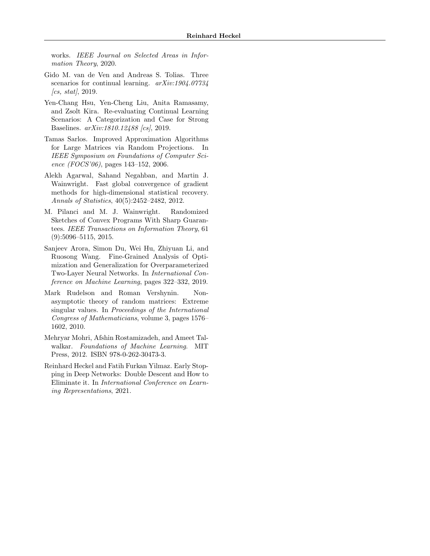works. IEEE Journal on Selected Areas in Information Theory, 2020.

- Gido M. van de Ven and Andreas S. Tolias. Three scenarios for continual learning.  $arXiv:1904.07734$  $\int_{\mathcal{C}}$  (cs, stat), 2019.
- Yen-Chang Hsu, Yen-Cheng Liu, Anita Ramasamy, and Zsolt Kira. Re-evaluating Continual Learning Scenarios: A Categorization and Case for Strong Baselines. arXiv:1810.12488 [cs], 2019.
- Tamas Sarlos. Improved Approximation Algorithms for Large Matrices via Random Projections. In IEEE Symposium on Foundations of Computer Science (FOCS'06), pages  $143-152$ , 2006.
- Alekh Agarwal, Sahand Negahban, and Martin J. Wainwright. Fast global convergence of gradient methods for high-dimensional statistical recovery. Annals of Statistics, 40(5):2452–2482, 2012.
- M. Pilanci and M. J. Wainwright. Randomized Sketches of Convex Programs With Sharp Guarantees. IEEE Transactions on Information Theory, 61 (9):5096–5115, 2015.
- Sanjeev Arora, Simon Du, Wei Hu, Zhiyuan Li, and Ruosong Wang. Fine-Grained Analysis of Optimization and Generalization for Overparameterized Two-Layer Neural Networks. In International Conference on Machine Learning, pages 322–332, 2019.
- Mark Rudelson and Roman Vershynin. Nonasymptotic theory of random matrices: Extreme singular values. In Proceedings of the International Congress of Mathematicians, volume 3, pages 1576– 1602, 2010.
- Mehryar Mohri, Afshin Rostamizadeh, and Ameet Talwalkar. Foundations of Machine Learning. MIT Press, 2012. ISBN 978-0-262-30473-3.
- Reinhard Heckel and Fatih Furkan Yilmaz. Early Stopping in Deep Networks: Double Descent and How to Eliminate it. In International Conference on Learning Representations, 2021.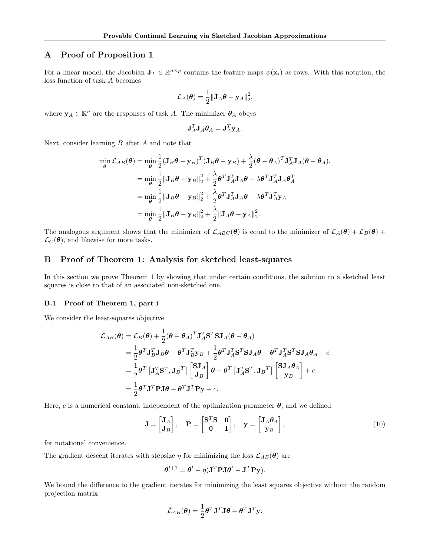## A Proof of Proposition 1

For a linear model, the Jacobian  $J_T \in \mathbb{R}^{n \times p}$  contains the feature maps  $\psi(\mathbf{x}_i)$  as rows. With this notation, the loss function of task A becomes

$$
\mathcal{L}_A(\boldsymbol{\theta}) = \frac{1}{2} \|\mathbf{J}_A \boldsymbol{\theta} - \mathbf{y}_A\|_2^2,
$$

where  $\mathbf{y}_A \in \mathbb{R}^n$  are the responses of task A. The minimizer  $\theta_A$  obeys

$$
\mathbf{J}_A^T \mathbf{J}_A \boldsymbol{\theta}_A = \mathbf{J}_A^T \mathbf{y}_A.
$$

Next, consider learning  $B$  after  $A$  and note that

$$
\min_{\theta} \mathcal{L}_{AB}(\theta) = \min_{\theta} \frac{1}{2} (\mathbf{J}_{B}\theta - \mathbf{y}_{B})^{T} (\mathbf{J}_{B}\theta - \mathbf{y}_{B}) + \frac{\lambda}{2} (\theta - \theta_{A})^{T} \mathbf{J}_{A}^{T} \mathbf{J}_{A}(\theta - \theta_{A}).
$$
\n
$$
= \min_{\theta} \frac{1}{2} ||\mathbf{J}_{B}\theta - \mathbf{y}_{B}||_{2}^{2} + \frac{\lambda}{2} \theta^{T} \mathbf{J}_{A}^{T} \mathbf{J}_{A}\theta - \lambda \theta^{T} \mathbf{J}_{A}^{T} \mathbf{J}_{A}\theta_{A}^{T}
$$
\n
$$
= \min_{\theta} \frac{1}{2} ||\mathbf{J}_{B}\theta - \mathbf{y}_{B}||_{2}^{2} + \frac{\lambda}{2} \theta^{T} \mathbf{J}_{A}^{T} \mathbf{J}_{A}\theta - \lambda \theta^{T} \mathbf{J}_{A}^{T} \mathbf{y}_{A}
$$
\n
$$
= \min_{\theta} \frac{1}{2} ||\mathbf{J}_{B}\theta - \mathbf{y}_{B}||_{2}^{2} + \frac{\lambda}{2} ||\mathbf{J}_{A}\theta - \mathbf{y}_{A}||_{2}^{2}.
$$

The analogous argument shows that the minimizer of  $\mathcal{L}_{ABC}(\theta)$  is equal to the minimizer of  $\mathcal{L}_A(\theta) + \mathcal{L}_B(\theta)$  +  $\mathcal{L}_C(\boldsymbol{\theta})$ , and likewise for more tasks.

#### B Proof of Theorem 1: Analysis for sketched least-squares

In this section we prove Theorem 1 by showing that under certain conditions, the solution to a sketched least squares is close to that of an associated non-sketched one.

#### B.1 Proof of Theorem 1, part i

We consider the least-squares objective

$$
\mathcal{L}_{AB}(\theta) = \mathcal{L}_{B}(\theta) + \frac{1}{2}(\theta - \theta_A)^T \mathbf{J}_{A}^T \mathbf{S}^T \mathbf{S} \mathbf{J}_{A}(\theta - \theta_A)
$$
  
\n
$$
= \frac{1}{2} \theta^T \mathbf{J}_{B}^T \mathbf{J}_{B} \theta - \theta^T \mathbf{J}_{B}^T \mathbf{y}_{B} + \frac{1}{2} \theta^T \mathbf{J}_{A}^T \mathbf{S}^T \mathbf{S} \mathbf{J}_{A} \theta - \theta^T \mathbf{J}_{A}^T \mathbf{S}^T \mathbf{S} \mathbf{J}_{A} \theta_A + c
$$
  
\n
$$
= \frac{1}{2} \theta^T \left[ \mathbf{J}_{A}^T \mathbf{S}^T, \mathbf{J}_{B}^T \right] \begin{bmatrix} \mathbf{S} \mathbf{J}_{A} \\ \mathbf{J}_{B} \end{bmatrix} \theta - \theta^T \left[ \mathbf{J}_{A}^T \mathbf{S}^T, \mathbf{J}_{B}^T \right] \begin{bmatrix} \mathbf{S} \mathbf{J}_{A} \theta_A \\ \mathbf{y}_{B} \end{bmatrix} + c
$$
  
\n
$$
= \frac{1}{2} \theta^T \mathbf{J}^T \mathbf{P} \mathbf{J} \theta - \theta^T \mathbf{J}^T \mathbf{P} \mathbf{y} + c.
$$

Here, c is a numerical constant, independent of the optimization parameter  $\theta$ , and we defined

$$
\mathbf{J} = \begin{bmatrix} \mathbf{J}_A \\ \mathbf{J}_B \end{bmatrix}, \quad \mathbf{P} = \begin{bmatrix} \mathbf{S}^T \mathbf{S} & \mathbf{0} \\ \mathbf{0} & \mathbf{I} \end{bmatrix}, \quad \mathbf{y} = \begin{bmatrix} \mathbf{J}_A \boldsymbol{\theta}_A \\ \mathbf{y}_B \end{bmatrix}, \tag{10}
$$

for notational convenience.

The gradient descent iterates with stepsize  $\eta$  for minimizing the loss  $\mathcal{L}_{AB}(\theta)$  are

$$
\boldsymbol{\theta}^{t+1} = \boldsymbol{\theta}^t - \eta (\mathbf{J}^T \mathbf{P} \mathbf{J} \boldsymbol{\theta}^t - \mathbf{J}^T \mathbf{P} \mathbf{y}).
$$

We bound the difference to the gradient iterates for minimizing the least squares objective without the random projection matrix

$$
\tilde{\mathcal{L}}_{AB}(\boldsymbol{\theta}) = \frac{1}{2} \boldsymbol{\theta}^T \mathbf{J}^T \mathbf{J} \boldsymbol{\theta} + \boldsymbol{\theta}^T \mathbf{J}^T \mathbf{y}.
$$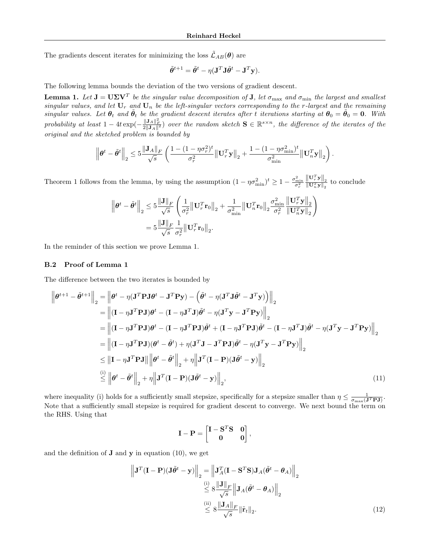The gradients descent iterates for minimizing the loss  $\tilde{\mathcal{L}}_{AB}(\theta)$  are

$$
\tilde{\theta}^{t+1} = \tilde{\theta}^t - \eta (\mathbf{J}^T \mathbf{J} \tilde{\theta}^t - \mathbf{J}^T \mathbf{y}).
$$

The following lemma bounds the deviation of the two versions of gradient descent.

**Lemma 1.** Let  $J = U\Sigma V^T$  be the singular value decomposition of  $J$ , let  $\sigma_{\max}$  and  $\sigma_{\min}$  the largest and smallest singular values, and let  $U_r$  and  $U_n$  be the left-singular vectors corresponding to the r-largest and the remaining singular values. Let  $\theta_t$  and  $\tilde{\theta}_t$  be the gradient descent iterates after t iterations starting at  $\theta_0 = \tilde{\theta}_0 = 0$ . With probability at least  $1-4t \exp(-\frac{\|\mathbf{J}_A\|_F^2}{2\|\mathbf{J}_A\|^2})$  over the random sketch  $\mathbf{S} \in \mathbb{R}^{s \times n}$ , the difference of the iterates of the original and the sketched problem is bounded by

$$
\left\|\boldsymbol{\theta}^{t}-\tilde{\boldsymbol{\theta}}^{t}\right\|_{2} \leq 5\frac{\left\|\mathbf{J}_{A}\right\|_{F}}{\sqrt{s}}\left(\frac{1-(1-\eta\sigma_{r}^{2})^{t}}{\sigma_{r}^{2}}\left\|\mathbf{U}_{r}^{T}\mathbf{y}\right\|_{2}+\frac{1-(1-\eta\sigma_{\min}^{2})^{t}}{\sigma_{\min}^{2}}\left\|\mathbf{U}_{n}^{T}\mathbf{y}\right\|_{2}\right).
$$

Theorem 1 follows from the lemma, by using the assumption  $(1 - \eta \sigma_{\min}^2)^t \ge 1 - \frac{\sigma_{\min}^2}{\sigma_r^2}$  $\frac{\left\Vert \mathbf{U}_{r}^{T}\mathbf{y}\right\Vert _{2}}{\left\Vert \mathbf{U}_{n}^{T}\mathbf{y}\right\Vert _{2}}$  to conclude

$$
\|\boldsymbol{\theta}^{t} - \tilde{\boldsymbol{\theta}}^{t}\|_{2} \leq 5 \frac{\|\mathbf{J}\|_{F}}{\sqrt{s}} \left( \frac{1}{\sigma_{r}^{2}} \|\mathbf{U}_{r}^{T}\mathbf{r}_{0}\|_{2} + \frac{1}{\sigma_{\min}^{2}} \|\mathbf{U}_{n}^{T}\mathbf{r}_{0}\|_{2} \frac{\sigma_{\min}^{2}}{\sigma_{r}^{2}} \frac{\|\mathbf{U}_{r}^{T}\mathbf{y}\|_{2}}{\|\mathbf{U}_{n}^{T}\mathbf{y}\|_{2}} \right)
$$
  
=  $5 \frac{\|\mathbf{J}\|_{F}}{\sqrt{s}} \frac{1}{\sigma_{r}^{2}} \|\mathbf{U}_{r}^{T}\mathbf{r}_{0}\|_{2}.$ 

In the reminder of this section we prove Lemma 1.

#### B.2 Proof of Lemma 1

The difference between the two iterates is bounded by

$$
\left\|\boldsymbol{\theta}^{t+1}-\tilde{\boldsymbol{\theta}}^{t+1}\right\|_{2} = \left\|\boldsymbol{\theta}^{t}-\eta(\mathbf{J}^{T}\mathbf{P}\mathbf{J}\boldsymbol{\theta}^{t}-\mathbf{J}^{T}\mathbf{P}\mathbf{y})-\left(\tilde{\boldsymbol{\theta}}^{t}-\eta(\mathbf{J}^{T}\mathbf{J}\tilde{\boldsymbol{\theta}}^{t}-\mathbf{J}^{T}\mathbf{y})\right)\right\|_{2}
$$
\n
$$
=\left\|\left(\mathbf{I}-\eta\mathbf{J}^{T}\mathbf{P}\mathbf{J}\right)\boldsymbol{\theta}^{t}-\left(\mathbf{I}-\eta\mathbf{J}^{T}\mathbf{J}\right)\tilde{\boldsymbol{\theta}}^{t}-\eta(\mathbf{J}^{T}\mathbf{y}-\mathbf{J}^{T}\mathbf{P}\mathbf{y})\right\|_{2}
$$
\n
$$
=\left\|\left(\mathbf{I}-\eta\mathbf{J}^{T}\mathbf{P}\mathbf{J}\right)\boldsymbol{\theta}^{t}-\left(\mathbf{I}-\eta\mathbf{J}^{T}\mathbf{P}\mathbf{J}\right)\tilde{\boldsymbol{\theta}}^{t}+\left(\mathbf{I}-\eta\mathbf{J}^{T}\mathbf{P}\mathbf{J}\right)\tilde{\boldsymbol{\theta}}^{t}-\left(\mathbf{I}-\eta\mathbf{J}^{T}\mathbf{J}\right)\tilde{\boldsymbol{\theta}}^{t} - \eta(\mathbf{J}^{T}\mathbf{y}-\mathbf{J}^{T}\mathbf{P}\mathbf{y})\right\|_{2}
$$
\n
$$
=\left\|\left(\mathbf{I}-\eta\mathbf{J}^{T}\mathbf{P}\mathbf{J}\right)\left(\boldsymbol{\theta}^{t}-\tilde{\boldsymbol{\theta}}^{t}\right)+\eta(\mathbf{J}^{T}\mathbf{J}-\mathbf{J}^{T}\mathbf{P}\mathbf{J}\right)\tilde{\boldsymbol{\theta}}^{t}-\eta(\mathbf{J}^{T}\mathbf{y}-\mathbf{J}^{T}\mathbf{P}\mathbf{y})\right\|_{2}
$$
\n
$$
\leq\left\|\mathbf{I}-\eta\mathbf{J}^{T}\mathbf{P}\mathbf{J}\right\|\left\|\boldsymbol{\theta}^{t}-\tilde{\boldsymbol{\theta}}^{t}\right\|_{2}+\eta\left\|\mathbf{J}^{T}(\mathbf{I}-\mathbf{P})(
$$

where inequality (i) holds for a sufficiently small stepsize, specifically for a stepsize smaller than  $\eta \leq \frac{1}{\sigma_{\max}(\mathbf{J}^T\mathbf{P}\mathbf{J})}$ . Note that a sufficiently small stepsize is required for gradient descent to converge. We next bound the term on the RHS. Using that

$$
\mathbf{I} - \mathbf{P} = \begin{bmatrix} \mathbf{I} - \mathbf{S}^T \mathbf{S} & \mathbf{0} \\ \mathbf{0} & \mathbf{0} \end{bmatrix},
$$

and the definition of  $J$  and  $y$  in equation (10), we get

$$
\left\| \mathbf{J}^T (\mathbf{I} - \mathbf{P}) (\mathbf{J} \tilde{\boldsymbol{\theta}}^t - \mathbf{y}) \right\|_2 = \left\| \mathbf{J}_A^T (\mathbf{I} - \mathbf{S}^T \mathbf{S}) \mathbf{J}_A (\tilde{\boldsymbol{\theta}}^t - \boldsymbol{\theta}_A) \right\|_2
$$
  
\$\leq\$  $8 \frac{\left\| \mathbf{J} \right\|_F}{\sqrt{s}} \left\| \mathbf{J}_A (\tilde{\boldsymbol{\theta}}^t - \boldsymbol{\theta}_A) \right\|_2$   
\$\leq\$  $8 \frac{\left\| \mathbf{J}_A \right\|_F}{\sqrt{s}} \left\| \tilde{\mathbf{r}}_t \right\|_2.$  (12)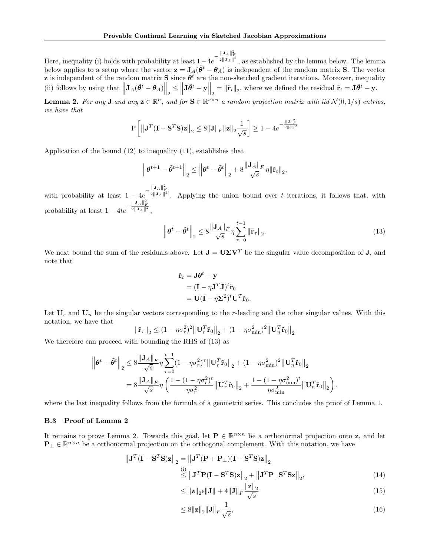Here, inequality (i) holds with probability at least  $1-4e^{-\frac{\|\mathbf{J}_A\|_F^2}{2\|\mathbf{J}_A\|^2}}$ , as established by the lemma below. The lemma below applies to a setup where the vector  $z = J_A(\tilde{\theta}^t - \theta_A)$  is independent of the random matrix S. The vector **z** is independent of the random matrix **S** since  $\tilde{\theta}^t$  are the non-sketched gradient iterations. Moreover, inequality (ii) follows by using that  $\left\|\mathbf{J}_{A}(\tilde{\theta}^{t} - \theta_{A})\right\|_{2} \le \left\|\mathbf{J}\tilde{\theta}^{t} - \mathbf{y}\right\|_{2} = \left\|\tilde{\mathbf{r}}_{t}\right\|_{2}$ , where we defined the residual  $\tilde{\mathbf{r}}_{t} = \mathbf{J}\tilde{\theta}^{t} - \mathbf{y}$ .

**Lemma 2.** For any **J** and any  $\mathbf{z} \in \mathbb{R}^n$ , and for  $\mathbf{S} \in \mathbb{R}^{s \times n}$  a random projection matrix with iid  $\mathcal{N}(0,1/s)$  entries, we have that

$$
\mathrm{P}\left[\left\Vert \mathbf{J}^T(\mathbf{I}-\mathbf{S}^T\mathbf{S})\mathbf{z}\right\Vert_2\leq 8\Vert\mathbf{J}\Vert_F\Vert\mathbf{z}\Vert_2\frac{1}{\sqrt{s}}\right]\geq 1-4e^{-\frac{\Vert\mathbf{J}\Vert_F^2}{2\Vert\mathbf{J}\Vert^2}}
$$

Application of the bound (12) to inequality (11), establishes that

$$
\left\|\boldsymbol{\theta}^{t+1}-\tilde{\boldsymbol{\theta}}^{t+1}\right\|_2 \leq \left\|\boldsymbol{\theta}^{t}-\tilde{\boldsymbol{\theta}}^{t}\right\|_2 + 8\frac{\left\|\mathbf{J}_A\right\|_F}{\sqrt{s}}\eta\|\tilde{\mathbf{r}}_t\|_2,
$$

with probability at least  $1 - 4e^{-\frac{\|\mathbf{J}_A\|_F^2}{2\|\mathbf{J}_A\|^2}}$ . Applying the union bound over t iterations, it follows that, with probability at least  $1 - 4te^{-\frac{||\mathbf{J}_A||_F^2}{2||\mathbf{J}_A||_F^2}},$ 

$$
\left\|\boldsymbol{\theta}^{t} - \tilde{\boldsymbol{\theta}}^{t}\right\|_{2} \leq 8 \frac{\left\|\mathbf{J}_{A}\right\|_{F}}{\sqrt{s}} \eta \sum_{\tau=0}^{t-1} \left\|\tilde{\mathbf{r}}_{\tau}\right\|_{2}.
$$
\n(13)

We next bound the sum of the residuals above. Let  $J = U\Sigma V^T$  be the singular value decomposition of J, and note that

$$
\tilde{\mathbf{r}}_t = \mathbf{J}\boldsymbol{\theta}^t - \mathbf{y}
$$
  
= (\mathbf{I} - \eta \mathbf{J}^T \mathbf{J})^t \tilde{\mathbf{r}}\_0  
= \mathbf{U}(\mathbf{I} - \eta \mathbf{\Sigma}^2)^t \mathbf{U}^T \tilde{\mathbf{r}}\_0.

Let  $U_r$  and  $U_n$  be the singular vectors corresponding to the r-leading and the other singular values. With this notation, we have that

$$
\|\tilde{\mathbf{r}}_{\tau}\|_2 \leq (1 - \eta \sigma_r^2)^2 \left\| \mathbf{U}_r^T \tilde{\mathbf{r}}_0 \right\|_2 + (1 - \eta \sigma_{\min}^2)^2 \left\| \mathbf{U}_n^T \tilde{\mathbf{r}}_0 \right\|_2
$$

We therefore can proceed with bounding the RHS of (13) as

$$
\left\|\boldsymbol{\theta}^{t}-\tilde{\boldsymbol{\theta}}^{t}\right\|_{2} \leq 8 \frac{\left\|\mathbf{J}_{A}\right\|_{F}}{\sqrt{s}}\eta \sum_{\tau=0}^{t-1} (1-\eta\sigma_{r}^{2})^{\tau}\left\|\mathbf{U}_{r}^{T}\tilde{\mathbf{r}}_{0}\right\|_{2} + (1-\eta\sigma_{\min}^{2})^{2}\left\|\mathbf{U}_{n}^{T}\tilde{\mathbf{r}}_{0}\right\|_{2}
$$

$$
= 8 \frac{\left\|\mathbf{J}_{A}\right\|_{F}}{\sqrt{s}}\eta \left(\frac{1-(1-\eta\sigma_{r}^{2})^{t}}{\eta\sigma_{r}^{2}}\left\|\mathbf{U}_{r}^{T}\tilde{\mathbf{r}}_{0}\right\|_{2} + \frac{1-(1-\eta\sigma_{\min}^{2})^{t}}{\eta\sigma_{\min}^{2}}\left\|\mathbf{U}_{n}^{T}\tilde{\mathbf{r}}_{0}\right\|_{2}\right),
$$

where the last inequality follows from the formula of a geometric series. This concludes the proof of Lemma 1.

#### B.3 Proof of Lemma 2

It remains to prove Lemma 2. Towards this goal, let  $\mathbf{P} \in \mathbb{R}^{n \times n}$  be a orthonormal projection onto z, and let  $\mathbf{P}_{\perp} \in \mathbb{R}^{n \times n}$  be a orthonormal projection on the orthogonal complement. With this notation, we have

$$
\|\mathbf{J}^T(\mathbf{I} - \mathbf{S}^T \mathbf{S})\mathbf{z}\|_2 = \|\mathbf{J}^T(\mathbf{P} + \mathbf{P}_\perp)(\mathbf{I} - \mathbf{S}^T \mathbf{S})\mathbf{z}\|_2
$$
  
\n
$$
\overset{\text{(i)}}{\leq} \|\mathbf{J}^T \mathbf{P} (\mathbf{I} - \mathbf{S}^T \mathbf{S})\mathbf{z}\|_2 + \|\mathbf{J}^T \mathbf{P}_\perp \mathbf{S}^T \mathbf{S}\mathbf{z}\|_2, \tag{14}
$$

$$
\leq \|\mathbf{z}\|_2 \epsilon \|\mathbf{J}\| + 4 \|\mathbf{J}\|_F \frac{\|\mathbf{z}\|_2}{\sqrt{s}} \tag{15}
$$

$$
\leq 8||\mathbf{z}||_2||\mathbf{J}||_F \frac{1}{\sqrt{s}},\tag{16}
$$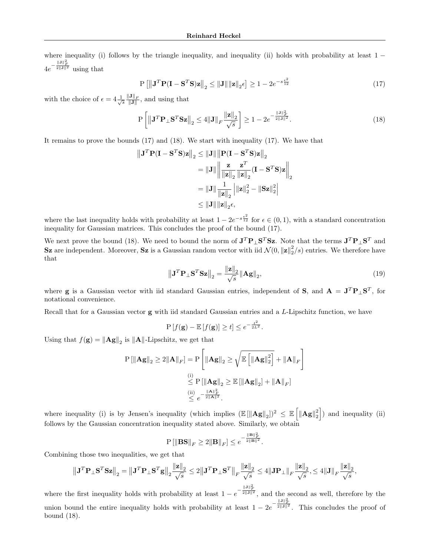where inequality (i) follows by the triangle inequality, and inequality (ii) holds with probability at least  $1 4e^{-\frac{\|\mathbf{J}\|_F^2}{2\|\mathbf{J}\|^2}}$  using that

$$
P\left[\left\|\mathbf{J}^T\mathbf{P}(\mathbf{I}-\mathbf{S}^T\mathbf{S})\mathbf{z}\right\|_2 \le \|\mathbf{J}\| \|\mathbf{z}\|_2 \epsilon\right] \ge 1 - 2e^{-s\frac{\epsilon^2}{12}}\tag{17}
$$

with the choice of  $\epsilon = 4 \frac{1}{\sqrt{s}} \frac{\|\mathbf{J}\|_F}{\|\mathbf{J}\|}$ , and using that

$$
\mathbf{P}\left[\left\|\mathbf{J}^T\mathbf{P}_{\perp}\mathbf{S}^T\mathbf{S}\mathbf{z}\right\|_2 \le 4\|\mathbf{J}\|_F \frac{\|\mathbf{z}\|_2}{\sqrt{s}}\right] \ge 1 - 2e^{-\frac{\|\mathbf{J}\|_F^2}{2\|\mathbf{J}\|^2}}.
$$
\n(18)

It remains to prove the bounds (17) and (18). We start with inequality (17). We have that

$$
\|\mathbf{J}^T \mathbf{P} (\mathbf{I} - \mathbf{S}^T \mathbf{S})\mathbf{z}\|_2 \le \|\mathbf{J}\| \|\mathbf{P} (\mathbf{I} - \mathbf{S}^T \mathbf{S})\mathbf{z}\|_2
$$
  
\n
$$
= \|\mathbf{J}\| \left\| \frac{\mathbf{z}}{\|\mathbf{z}\|_2} \frac{\mathbf{z}^T}{\|\mathbf{z}\|_2} (\mathbf{I} - \mathbf{S}^T \mathbf{S})\mathbf{z} \right\|_2
$$
  
\n
$$
= \|\mathbf{J}\| \frac{1}{\|\mathbf{z}\|_2} \left\| \|\mathbf{z}\|_2^2 - \|\mathbf{S}\mathbf{z}\|_2^2 \right\|
$$
  
\n
$$
\le \|\mathbf{J}\| \|\mathbf{z}\|_2 \epsilon,
$$

where the last inequality holds with probability at least  $1 - 2e^{-s\frac{\epsilon^2}{12}}$  for  $\epsilon \in (0,1)$ , with a standard concentration inequality for Gaussian matrices. This concludes the proof of the bound (17).

We next prove the bound (18). We need to bound the norm of  $J^T P_{\perp} S^T S z$ . Note that the terms  $J^T P_{\perp} S^T$  and Sz are independent. Moreover, Sz is a Gaussian random vector with iid  $\mathcal{N}(0, ||\mathbf{z}||_2^2/s)$  entries. We therefore have that

$$
\left\| \mathbf{J}^T \mathbf{P}_{\perp} \mathbf{S}^T \mathbf{S} \mathbf{z} \right\|_2 = \frac{\|\mathbf{z}\|_2}{\sqrt{s}} \|\mathbf{A} \mathbf{g}\|_2,
$$
\n(19)

where **g** is a Gaussian vector with iid standard Gaussian entries, independent of S, and  $A = J^T P_{\perp} S^T$ , for notational convenience.

Recall that for a Gaussian vector  $g$  with iid standard Gaussian entries and a  $L$ -Lipschitz function, we have

$$
P[f(\mathbf{g}) - \mathbb{E}[f(\mathbf{g})] \ge t] \le e^{-\frac{t^2}{2L^2}}.
$$

Using that  $f(\mathbf{g}) = \|\mathbf{A}\mathbf{g}\|_2$  is  $\|\mathbf{A}\|$ -Lipschitz, we get that

$$
P [\|\mathbf{A}\mathbf{g}\|_2 \ge 2 \|\mathbf{A}\|_F] = P \left[ \|\mathbf{A}\mathbf{g}\|_2 \ge \sqrt{\mathbb{E} \left[ \|\mathbf{A}\mathbf{g}\|_2^2 \right]} + \|\mathbf{A}\|_F \right]
$$
  
\n(i) 
$$
\le P [\|\mathbf{A}\mathbf{g}\|_2 \ge \mathbb{E} [\|\mathbf{A}\mathbf{g}\|_2] + \|\mathbf{A}\|_F]
$$
  
\n(ii) 
$$
\le e^{-\frac{\|\mathbf{A}\|_F^2}{2\|\mathbf{A}\|^2}}.
$$

where inequality (i) is by Jensen's inequality (which implies  $(\mathbb{E}[\|\mathbf{Ag}\|_2])^2 \leq \mathbb{E}[\|\mathbf{Ag}\|_2^2]$ ) and inequality (ii) follows by the Gaussian concentration inequality stated above. Similarly, we obtain

$$
\mathbf{P}\left[ \left\| \mathbf{B}\mathbf{S} \right\|_F \geq 2\|\mathbf{B}\|_F \right] \leq e^{-\frac{\|\mathbf{B}\|_F^2}{2\|\mathbf{B}\|^2}}.
$$

Combining those two inequalities, we get that

$$
\left\|\mathbf{J}^T\mathbf{P}_\perp\mathbf{S}^T\mathbf{S}\mathbf{z}\right\|_2 = \left\|\mathbf{J}^T\mathbf{P}_\perp\mathbf{S}^T\mathbf{g}\right\|_2 \frac{\|\mathbf{z}\|_2}{\sqrt{s}} \le 2\left\|\mathbf{J}^T\mathbf{P}_\perp\mathbf{S}^T\right\|_F \frac{\|\mathbf{z}\|_2}{\sqrt{s}} \le 4\left\|\mathbf{J}\mathbf{P}_\perp\right\|_F \frac{\|\mathbf{z}\|_2}{\sqrt{s}}, \le 4\left\|\mathbf{J}\right\|_F \frac{\|\mathbf{z}\|_2}{\sqrt{s}},
$$

where the first inequality holds with probability at least  $1 - e^{-\frac{\|\mathbf{J}\|_F^2}{2\|\mathbf{J}\|^2}}$ , and the second as well, therefore by the union bound the entire inequality holds with probability at least  $1 - 2e^{-\frac{\|\mathbf{J}\|_F^2}{2\|\mathbf{J}\|^2}}$ . This concludes the proof of bound (18).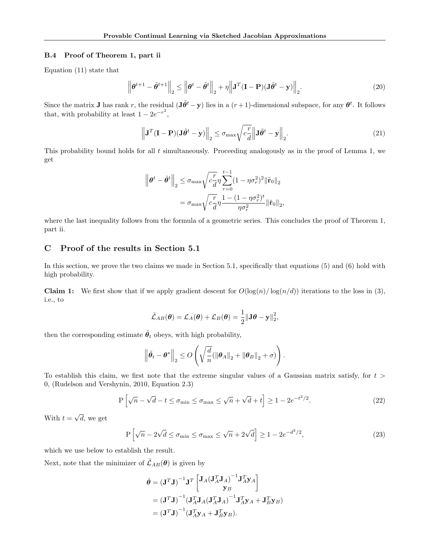#### B.4 Proof of Theorem 1, part ii

Equation (11) state that

$$
\left\|\boldsymbol{\theta}^{t+1} - \tilde{\boldsymbol{\theta}}^{t+1}\right\|_{2} \le \left\|\boldsymbol{\theta}^{t} - \tilde{\boldsymbol{\theta}}^{t}\right\|_{2} + \eta\left\|\mathbf{J}^{T}(\mathbf{I} - \mathbf{P})(\mathbf{J}\tilde{\boldsymbol{\theta}}^{t} - \mathbf{y})\right\|_{2}.
$$
\n(20)

Since the matrix **J** has rank r, the residual  $(\mathbf{J}\tilde{\theta}^t - \mathbf{y})$  lies in a  $(r+1)$ -dimensional subspace, for any  $\theta^t$ . It follows that, with probability at least  $1 - 2e^{-r^2}$ ,

$$
\left\| \mathbf{J}^T (\mathbf{I} - \mathbf{P}) (\mathbf{J} \tilde{\boldsymbol{\theta}}^t - \mathbf{y}) \right\|_2 \le \sigma_{\text{max}} \sqrt{c \frac{r}{d}} \left\| \mathbf{J} \tilde{\boldsymbol{\theta}}^t - \mathbf{y} \right\|_2.
$$
 (21)

This probability bound holds for all t simultaneously. Proceeding analogously as in the proof of Lemma 1, we get

$$
\|\theta^t - \tilde{\theta}^t\|_2 \leq \sigma_{\max} \sqrt{c_d^r} \eta \sum_{\tau=0}^{t-1} (1 - \eta \sigma_r^2)^2 \|\tilde{\mathbf{r}}_0\|_2
$$

$$
= \sigma_{\max} \sqrt{c_d^r} \eta \frac{1 - (1 - \eta \sigma_r^2)^t}{\eta \sigma_r^2} \|\tilde{\mathbf{r}}_0\|_2,
$$

where the last inequality follows from the formula of a geometric series. This concludes the proof of Theorem 1, part ii.

## C Proof of the results in Section 5.1

In this section, we prove the two claims we made in Section 5.1, specifically that equations (5) and (6) hold with high probability.

**Claim 1:** We first show that if we apply gradient descent for  $O(\log(n)/\log(n/d))$  iterations to the loss in (3), i.e., to

$$
\tilde{\mathcal{L}}_{AB}(\boldsymbol{\theta}) = \mathcal{L}_A(\boldsymbol{\theta}) + \mathcal{L}_B(\boldsymbol{\theta}) = \frac{1}{2} {\lVert \mathbf{J} \boldsymbol{\theta} - \mathbf{y} \rVert}^2_2,
$$

then the corresponding estimate  $\tilde{\theta}_t$  obeys, with high probability,

$$
\left\|\tilde{\theta}_t - \theta^*\right\|_2 \le O\left(\sqrt{\frac{d}{n}}(\|\theta_A\|_2 + \|\theta_B\|_2 + \sigma)\right).
$$

To establish this claim, we first note that the extreme singular values of a Gaussian matrix satisfy, for  $t >$ 0, (Rudelson and Vershynin, 2010, Equation 2.3)

$$
P\left[\sqrt{n} - \sqrt{d} - t \le \sigma_{\min} \le \sigma_{\max} \le \sqrt{n} + \sqrt{d} + t\right] \ge 1 - 2e^{-t^2/2}.
$$
\n(22)

With  $t =$ √ d, we get

$$
P\left[\sqrt{n} - 2\sqrt{d} \le \sigma_{\min} \le \sigma_{\max} \le \sqrt{n} + 2\sqrt{d}\right] \ge 1 - 2e^{-d^2/2},\tag{23}
$$

which we use below to establish the result.

Next, note that the minimizer of  $\tilde{\mathcal{L}}_{AB}(\theta)$  is given by

$$
\hat{\theta} = (\mathbf{J}^T \mathbf{J})^{-1} \mathbf{J}^T \begin{bmatrix} \mathbf{J}_A (\mathbf{J}_A^T \mathbf{J}_A)^{-1} \mathbf{J}_A^T \mathbf{y}_A \\ \mathbf{y}_B \end{bmatrix}
$$
  
=  $(\mathbf{J}^T \mathbf{J})^{-1} (\mathbf{J}_A^T \mathbf{J}_A (\mathbf{J}_A^T \mathbf{J}_A)^{-1} \mathbf{J}_A^T \mathbf{y}_A + \mathbf{J}_B^T \mathbf{y}_B)$   
=  $(\mathbf{J}^T \mathbf{J})^{-1} (\mathbf{J}_A^T \mathbf{y}_A + \mathbf{J}_B^T \mathbf{y}_B).$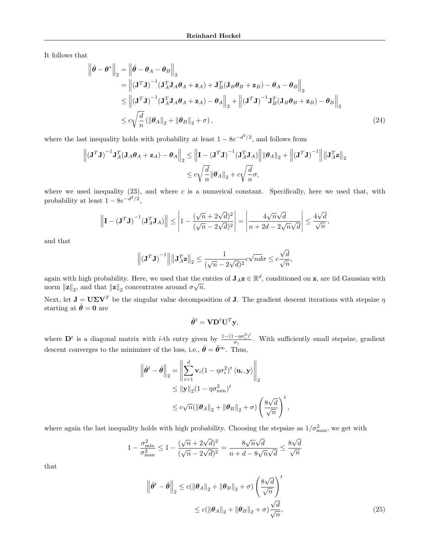It follows that

$$
\begin{aligned}\n\left\|\hat{\theta} - \theta^*\right\|_2 &= \left\|\hat{\theta} - \theta_A - \theta_B\right\|_2 \\
&= \left\|(J^T J)^{-1} (J_A^T J_A \theta_A + \mathbf{z}_A) + J_B^T (J_B \theta_B + \mathbf{z}_B) - \theta_A - \theta_B\right\|_2 \\
&\le \left\|(J^T J)^{-1} (J_A^T J_A \theta_A + \mathbf{z}_A) - \theta_A\right\|_2 + \left\|(J^T J)^{-1} J_B^T (J_B \theta_B + \mathbf{z}_B) - \theta_B\right\|_2 \\
&\le c\sqrt{\frac{d}{n}} \left(\|\theta_A\|_2 + \|\theta_B\|_2 + \sigma\right),\n\end{aligned}
$$
\n(24)

where the last inequality holds with probability at least  $1 - 8e^{-d^2/2}$ , and follows from

$$
\left\| \left(\mathbf{J}^T \mathbf{J}\right)^{-1} \mathbf{J}_A^T (\mathbf{J}_A \boldsymbol{\theta}_A + \mathbf{z}_A) - \boldsymbol{\theta}_A \right\|_2 \le \left\| \mathbf{I} - \left(\mathbf{J}^T \mathbf{J}\right)^{-1} (\mathbf{J}_A^T \mathbf{J}_A) \right\| \left\| \boldsymbol{\theta}_A \right\|_2 + \left\| \left(\mathbf{J}^T \mathbf{J}\right)^{-1} \right\| \left\| \mathbf{J}_A^T \mathbf{z} \right\|_2
$$
  

$$
\le c \sqrt{\frac{d}{n}} \left\| \boldsymbol{\theta}_A \right\|_2 + c \sqrt{\frac{d}{n}} \sigma,
$$

where we used inequality  $(23)$ , and where c is a numerical constant. Specifically, here we used that, with probability at least  $1 - 8e^{-d^2/2}$ ,

$$
\left\|\mathbf{I} - \left(\mathbf{J}^T\mathbf{J}\right)^{-1}(\mathbf{J}_A^T\mathbf{J}_A)\right\| \le \left|1 - \frac{(\sqrt{n} + 2\sqrt{d})^2}{(\sqrt{n} - 2\sqrt{d})^2}\right| = \left|\frac{4\sqrt{n}\sqrt{d}}{n + 2d - 2\sqrt{n}\sqrt{d}}\right| \le \frac{4\sqrt{d}}{\sqrt{n}},
$$

and that

$$
\left\| \left(\mathbf{J}^T \mathbf{J}\right)^{-1} \right\| \left\| \mathbf{J}_A^T \mathbf{z} \right\|_2 \le \frac{1}{(\sqrt{n} - 2\sqrt{d})^2} c \sqrt{n} d\sigma \le c \frac{\sqrt{d}}{\sqrt{n}},
$$

again with high probability. Here, we used that the entries of  $J_A z \in \mathbb{R}^d$ , conditioned on z, are iid Gaussian with norm  $\|\mathbf{z}\|_2$ , and that  $\|\mathbf{z}\|_2$  concentrates around  $\sigma\sqrt{n}$ .

Next, let  $J = U\Sigma V^T$  be the singular value decomposition of J. The gradient descent iterations with stepsize  $\eta$ starting at  $\tilde{\theta} = 0$  are

$$
\tilde{\theta}^t = \mathbf{V} \mathbf{D}^t \mathbf{U}^T \mathbf{y},
$$

where  $\mathbf{D}^t$  is a diagonal matrix with *i*-th entry given by  $\frac{1-(1-\eta\sigma_i^2)^t}{\sigma_i}$  $\frac{-\eta\sigma_i}{\sigma_i}$ . With sufficiently small stepsize, gradient descent converges to the minimizer of the loss, i.e.,  $\hat{\theta} = \tilde{\theta}^{\infty}$ . Thus,

$$
\left\|\tilde{\theta}^{t} - \hat{\theta}\right\|_{2} = \left\|\sum_{i=1}^{d} \mathbf{v}_{i}(1 - \eta \sigma_{i}^{2})^{t} \langle \mathbf{u}_{i}, \mathbf{y} \rangle\right\|_{2}
$$
  

$$
\leq \|\mathbf{y}\|_{2}(1 - \eta \sigma_{\min}^{2})^{t}
$$
  

$$
\leq c\sqrt{n}(\|\theta_{A}\|_{2} + \|\theta_{B}\|_{2} + \sigma) \left(\frac{8\sqrt{d}}{\sqrt{n}}\right)^{t}
$$

where again the last inequality holds with high probability. Choosing the stepsize as  $1/\sigma_{\text{max}}^2$ , we get with

$$
1-\frac{\sigma_{\min}^2}{\sigma_{\max}^2} \leq 1-\frac{(\sqrt{n}+2\sqrt{d})^2}{(\sqrt{n}-2\sqrt{d})^2} = \frac{8\sqrt{n}\sqrt{d}}{n+d-8\sqrt{n}\sqrt{d}} \leq \frac{8\sqrt{d}}{\sqrt{n}}
$$

that

$$
\left\| \tilde{\theta}^{t} - \hat{\theta} \right\|_{2} \le c \left( \left\| \theta_{A} \right\|_{2} + \left\| \theta_{B} \right\|_{2} + \sigma \right) \left( \frac{8\sqrt{d}}{\sqrt{n}} \right)^{t}
$$

$$
\le c \left( \left\| \theta_{A} \right\|_{2} + \left\| \theta_{B} \right\|_{2} + \sigma \right) \frac{\sqrt{d}}{\sqrt{n}},\tag{25}
$$

,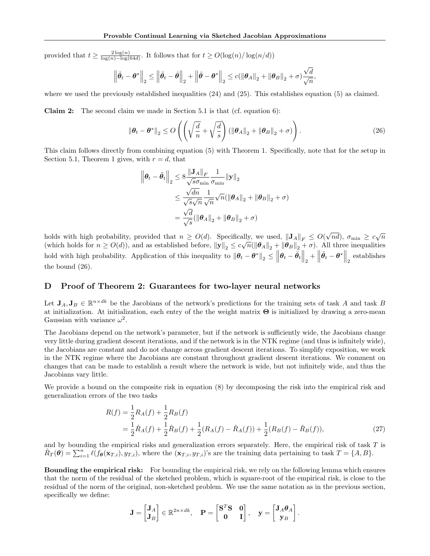provided that  $t \geq \frac{2\log(n)}{\log(n)-\log(n)}$  $\frac{2\log(n)}{\log(n)-\log(64d)}$ . It follows that for  $t \geq O(\log(n)/\log(n/d))$ 

$$
\left\|\tilde{\theta}_{t}-\boldsymbol{\theta}^{*}\right\|_{2} \leq\left\|\tilde{\theta}_{t}-\hat{\boldsymbol{\theta}}\right\|_{2}+\left\|\hat{\boldsymbol{\theta}}-\boldsymbol{\theta}^{*}\right\|_{2} \leq c(\left\|\boldsymbol{\theta}_{A}\right\|_{2}+\left\|\boldsymbol{\theta}_{B}\right\|_{2}+\sigma)\frac{\sqrt{d}}{\sqrt{n}},
$$

where we used the previously established inequalities  $(24)$  and  $(25)$ . This establishes equation  $(5)$  as claimed.

**Claim 2:** The second claim we made in Section 5.1 is that (cf. equation 6):

$$
\|\boldsymbol{\theta}_t - \boldsymbol{\theta}^*\|_2 \le O\left(\left(\sqrt{\frac{d}{n}} + \sqrt{\frac{d}{s}}\right) \left(\|\boldsymbol{\theta}_A\|_2 + \|\boldsymbol{\theta}_B\|_2 + \sigma\right)\right). \tag{26}
$$

This claim follows directly from combining equation (5) with Theorem 1. Specifically, note that for the setup in Section 5.1, Theorem 1 gives, with  $r = d$ , that

$$
\|\boldsymbol{\theta}_{t} - \tilde{\boldsymbol{\theta}}_{t}\|_{2} \leq 8 \frac{\|\mathbf{J}_{A}\|_{F}}{\sqrt{s}\sigma_{\min}} \frac{1}{\sigma_{\min}} \|\mathbf{y}\|_{2}
$$
  

$$
\leq \frac{\sqrt{dn}}{\sqrt{s}\sqrt{n}} \frac{1}{\sqrt{n}} \sqrt{n} (\|\boldsymbol{\theta}_{A}\|_{2} + \|\boldsymbol{\theta}_{B}\|_{2} + \sigma)
$$
  

$$
= \frac{\sqrt{d}}{\sqrt{s}} (\|\boldsymbol{\theta}_{A}\|_{2} + \|\boldsymbol{\theta}_{B}\|_{2} + \sigma)
$$

holds with high probability, provided that  $n \geq O(d)$ . Specifically, we used,  $\|\mathbf{J}_A\|_F \leq O(d)$ . √ ally, we used,  $\|\mathbf{J}_A\|_F \leq O(\sqrt{nd})$ ,  $\sigma_{\min} \geq c\sqrt{n}$ (which holds for  $n \ge O(d)$ ), and as established before,  $||\mathbf{y}||_2 \le c\sqrt{n}(||\theta_A||_2 + ||\theta_B||_2 + \sigma)$ . All three inequalities hold with high probability. Application of this inequality to  $\|\theta_t - \theta^*\|_2 \le \left\|\theta_t - \tilde{\theta}_t\right\|_2 + \left\|\tilde{\theta}_t - \theta^*\right\|_2$  establishes the bound (26).

#### D Proof of Theorem 2: Guarantees for two-layer neural networks

Let  $J_A, J_B \in \mathbb{R}^{n \times dk}$  be the Jacobians of the network's predictions for the training sets of task A and task B at initialization. At initialization, each entry of the the weight matrix  $\Theta$  is initialized by drawing a zero-mean Gaussian with variance  $\omega^2$ .

The Jacobians depend on the network's parameter, but if the network is sufficiently wide, the Jacobians change very little during gradient descent iterations, and if the network is in the NTK regime (and thus is infinitely wide), the Jacobians are constant and do not change across gradient descent iterations. To simplify exposition, we work in the NTK regime where the Jacobians are constant throughout gradient descent iterations. We comment on changes that can be made to establish a result where the network is wide, but not infinitely wide, and thus the Jacobians vary little.

We provide a bound on the composite risk in equation (8) by decomposing the risk into the empirical risk and generalization errors of the two tasks

$$
R(f) = \frac{1}{2}R_A(f) + \frac{1}{2}R_B(f)
$$
  
=  $\frac{1}{2}\hat{R}_A(f) + \frac{1}{2}\hat{R}_B(f) + \frac{1}{2}(R_A(f) - \hat{R}_A(f)) + \frac{1}{2}(R_B(f) - \hat{R}_B(f)),$  (27)

and by bounding the empirical risks and generalization errors separately. Here, the empirical risk of task T is  $\hat{R}_T(\theta) = \sum_{i=1}^n \ell(f_{\theta}(\mathbf{x}_{T,i}), y_{T,i}),$  where the  $(\mathbf{x}_{T,i}, y_{T,i})$ 's are the training data pertaining to task  $T = \{A, B\}.$ 

Bounding the empirical risk: For bounding the empirical risk, we rely on the following lemma which ensures that the norm of the residual of the sketched problem, which is square-root of the empirical risk, is close to the residual of the norm of the original, non-sketched problem. We use the same notation as in the previous section, specifically we define:

$$
\mathbf{J} = \begin{bmatrix} \mathbf{J}_A \\ \mathbf{J}_B \end{bmatrix} \in \mathbb{R}^{2n \times dk}, \quad \mathbf{P} = \begin{bmatrix} \mathbf{S}^T \mathbf{S} & \mathbf{0} \\ \mathbf{0} & \mathbf{I} \end{bmatrix}, \quad \mathbf{y} = \begin{bmatrix} \mathbf{J}_A \boldsymbol{\theta}_A \\ \mathbf{y}_B \end{bmatrix}.
$$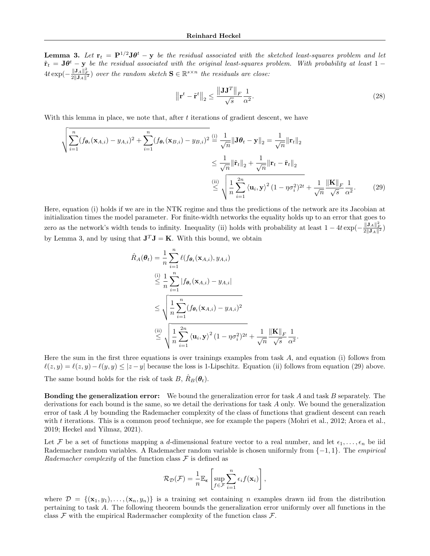**Lemma 3.** Let  $\mathbf{r}_t = \mathbf{P}^{1/2}\mathbf{J}\boldsymbol{\theta}^t - \mathbf{y}$  be the residual associated with the sketched least-squares problem and let  $\tilde{\mathbf{r}}_t = \mathbf{J}\boldsymbol{\theta}^t - \mathbf{y}$  be the residual associated with the original least-squares problem. With probability at least 1 –  $4t \exp(-\frac{\|\mathbf{J}_A\|_F^2}{2\|\mathbf{J}_A\|^2})$  over the random sketch  $\mathbf{S} \in \mathbb{R}^{s \times n}$  the residuals are close:

$$
\left\|\mathbf{r}^{t} - \tilde{\mathbf{r}}^{t}\right\|_{2} \le \frac{\left\|\mathbf{J}\mathbf{J}^{T}\right\|_{F}}{\sqrt{s}} \frac{1}{\alpha^{2}}.
$$
\n(28)

With this lemma in place, we note that, after  $t$  iterations of gradient descent, we have

$$
\sqrt{\sum_{i=1}^{n} (f_{\theta_t}(\mathbf{x}_{A,i}) - y_{A,i})^2 + \sum_{i=1}^{n} (f_{\theta_t}(\mathbf{x}_{B,i}) - y_{B,i})^2} \stackrel{\text{(i)}}{=} \frac{1}{\sqrt{n}} \|\mathbf{J}\theta_t - \mathbf{y}\|_2 = \frac{1}{\sqrt{n}} \|\mathbf{r}_t\|_2
$$
\n
$$
\leq \frac{1}{\sqrt{n}} \|\tilde{\mathbf{r}}_t\|_2 + \frac{1}{\sqrt{n}} \|\mathbf{r}_t - \tilde{\mathbf{r}}_t\|_2
$$
\n
$$
\stackrel{\text{(ii)}}{\leq} \sqrt{\frac{1}{n} \sum_{i=1}^{2n} \langle \mathbf{u}_i, \mathbf{y} \rangle^2 (1 - \eta \sigma_i^2)^{2t}} + \frac{1}{\sqrt{n}} \frac{\|\mathbf{K}\|_F}{\sqrt{s}} \frac{1}{\alpha^2}.
$$
\n(29)

Here, equation (i) holds if we are in the NTK regime and thus the predictions of the network are its Jacobian at initialization times the model parameter. For finite-width networks the equality holds up to an error that goes to zero as the network's width tends to infinity. Inequality (ii) holds with probability at least  $1 - 4t \exp(-\frac{\|\mathbf{J}_A\|_F^2}{2\|\mathbf{J}_A\|^2})$ by Lemma 3, and by using that  $J^T J = K$ . With this bound, we obtain

$$
\hat{R}_{A}(\theta_{t}) = \frac{1}{n} \sum_{i=1}^{n} \ell(f_{\theta_{t}}(\mathbf{x}_{A,i}), y_{A,i})
$$
\n
$$
\leq \frac{1}{n} \sum_{i=1}^{n} |f_{\theta_{t}}(\mathbf{x}_{A,i}) - y_{A,i}|
$$
\n
$$
\leq \sqrt{\frac{1}{n} \sum_{i=1}^{n} (f_{\theta_{t}}(\mathbf{x}_{A,i}) - y_{A,i})^{2}}
$$
\n
$$
\stackrel{\text{(ii)}}{\leq} \sqrt{\frac{1}{n} \sum_{i=1}^{2n} \langle \mathbf{u}_{i}, \mathbf{y} \rangle^{2} (1 - \eta \sigma_{i}^{2})^{2t}} + \frac{1}{\sqrt{n}} \frac{\|\mathbf{K}\|_{F}}{\sqrt{s}} \frac{1}{\alpha^{2}}.
$$

Here the sum in the first three equations is over trainings examples from task  $A$ , and equation (i) follows from  $\ell(z, y) = \ell(z, y) - \ell(y, y) \le |z - y|$  because the loss is 1-Lipschitz. Equation (ii) follows from equation (29) above. The same bound holds for the risk of task B,  $\hat{R}_B(\theta_t)$ .

**Bonding the generalization error:** We bound the generalization error for task  $A$  and task  $B$  separately. The derivations for each bound is the same, so we detail the derivations for task A only. We bound the generalization error of task A by bounding the Rademacher complexity of the class of functions that gradient descent can reach with  $t$  iterations. This is a common proof technique, see for example the papers (Mohri et al., 2012; Arora et al., 2019; Heckel and Yilmaz, 2021).

Let F be a set of functions mapping a d-dimensional feature vector to a real number, and let  $\epsilon_1, \ldots, \epsilon_n$  be iid Rademacher random variables. A Rademacher random variable is chosen uniformly from  $\{-1,1\}$ . The *empirical* Rademacher complexity of the function class  $\mathcal F$  is defined as

$$
\mathcal{R}_{\mathcal{D}}(\mathcal{F}) = \frac{1}{n} \mathbb{E}_{\epsilon} \left[ \sup_{f \in \mathcal{F}} \sum_{i=1}^{n} \epsilon_i f(\mathbf{x}_i) \right],
$$

where  $\mathcal{D} = \{(\mathbf{x}_1, y_1), \dots, (\mathbf{x}_n, y_n)\}\$ is a training set containing n examples drawn iid from the distribution pertaining to task A. The following theorem bounds the generalization error uniformly over all functions in the class  $\mathcal F$  with the empirical Radermacher complexity of the function class  $\mathcal F$ .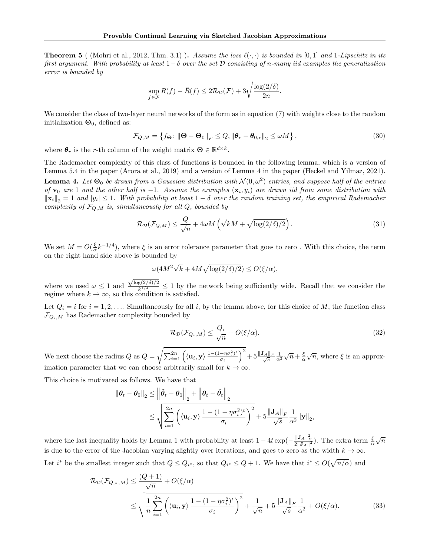**Theorem 5** ( (Mohri et al., 2012, Thm. 3.1) ). Assume the loss  $\ell(\cdot, \cdot)$  is bounded in [0, 1] and 1-Lipschitz in its first argument. With probability at least  $1-\delta$  over the set D consisting of n-many iid examples the generalization error is bounded by

$$
\sup_{f \in \mathcal{F}} R(f) - \hat{R}(f) \le 2\mathcal{R}_{\mathcal{D}}(\mathcal{F}) + 3\sqrt{\frac{\log(2/\delta)}{2n}}.
$$

We consider the class of two-layer neural networks of the form as in equation (7) with weights close to the random initialization  $\mathbf{\Theta}_0$ , defined as:

$$
\mathcal{F}_{Q,M} = \left\{ f_{\Theta} : \left\| \Theta - \Theta_0 \right\|_F \le Q, \left\| \theta_r - \theta_{0,r} \right\|_2 \le \omega M \right\},\tag{30}
$$

where  $\theta_r$  is the r-th column of the weight matrix  $\Theta \in \mathbb{R}^{d \times k}$ .

The Rademacher complexity of this class of functions is bounded in the following lemma, which is a version of Lemma 5.4 in the paper (Arora et al., 2019) and a version of Lemma 4 in the paper (Heckel and Yilmaz, 2021).

**Lemma 4.** Let  $\Theta_0$  be drawn from a Gaussian distribution with  $\mathcal{N}(0,\omega^2)$  entries, and suppose half of the entries of  $\mathbf{v}_0$  are 1 and the other half is -1. Assume the examples  $(\mathbf{x}_i, y_i)$  are drawn iid from some distribution with  $\|\mathbf{x}_i\|_2 = 1$  and  $|y_i| \leq 1$ . With probability at least  $1 - \delta$  over the random training set, the empirical Rademacher complexity of  $\mathcal{F}_{Q,M}$  is, simultaneously for all Q, bounded by

$$
\mathcal{R}_{\mathcal{D}}(\mathcal{F}_{Q,M}) \le \frac{Q}{\sqrt{n}} + 4\omega M \left(\sqrt{k}M + \sqrt{\log(2/\delta)/2}\right). \tag{31}
$$

We set  $M = O(\frac{\xi}{\alpha}k^{-1/4})$ , where  $\xi$  is an error tolerance parameter that goes to zero. With this choice, the term on the right hand side above is bounded by

$$
\omega(4M^2\sqrt{k} + 4M\sqrt{\log(2/\delta)/2}) \le O(\xi/\alpha),
$$

where we used  $\omega \leq 1$  and  $\frac{\sqrt{\log(2/\delta)/2}}{k^{1/4}} \leq 1$  by the network being sufficiently wide. Recall that we consider the regime where  $k \to \infty$ , so this condition is satisfied.

Let  $Q_i = i$  for  $i = 1, 2, \ldots$  Simultaneously for all i, by the lemma above, for this choice of M, the function class  $\mathcal{F}_{Q_i,M}$  has Rademacher complexity bounded by

$$
\mathcal{R}_{\mathcal{D}}(\mathcal{F}_{Q_i,M}) \le \frac{Q_i}{\sqrt{n}} + O(\xi/\alpha). \tag{32}
$$

We next choose the radius  $Q$  as  $Q =$  $\sqrt{\sum_{i=1}^{2n} \left(\langle \mathbf{u}_i, \mathbf{y}\rangle \frac{1-(1-\eta \sigma_i^2)^t}{\sigma_i} \right)}$  $\left(\frac{-\eta \sigma_i^2}{\sigma_i}\right)^2 + 5 \frac{\Vert \mathbf{J}_A \Vert_F}{\sqrt{s}} \frac{1}{\alpha^2}$  $\sqrt{n}+\frac{\xi}{\alpha}$  $\sqrt{n}$ , where  $\xi$  is an approximation parameter that we can choose arbitrarily small for  $k \to \infty$ .

This choice is motivated as follows. We have that

$$
\|\boldsymbol{\theta}_t - \boldsymbol{\theta}_0\|_2 \le \left\|\tilde{\boldsymbol{\theta}}_t - \boldsymbol{\theta}_0\right\|_2 + \left\|\boldsymbol{\theta}_t - \tilde{\boldsymbol{\theta}}_t\right\|_2
$$
  

$$
\le \sqrt{\sum_{i=1}^{2n} \left( \langle \mathbf{u}_i, \mathbf{y} \rangle \frac{1 - (1 - \eta \sigma_i^2)^t}{\sigma_i} \right)^2} + 5 \frac{\|\mathbf{J}_A\|_F}{\sqrt{s}} \frac{1}{\alpha^2} \|\mathbf{y}\|_2,
$$

where the last inequality holds by Lemma 1 with probability at least  $1 - 4t \exp(-\frac{\|\mathbf{J}_A\|_F^2}{2\|\mathbf{J}_A\|^2})$ . The extra term  $\frac{\xi}{\alpha}$  $\sqrt{n}$ is due to the error of the Jacobian varying slightly over iterations, and goes to zero as the width  $k \to \infty$ . Let i<sup>\*</sup> be the smallest integer such that  $Q \leq Q_{i^*}$ , so that  $Q_{i^*} \leq Q+1$ . We have that  $i^* \leq O(\sqrt{n/\alpha})$  and

$$
\mathcal{R}_{\mathcal{D}}(\mathcal{F}_{Q_{i^*},M}) \leq \frac{(Q+1)}{\sqrt{n}} + O(\xi/\alpha)
$$
  
\$\leq \sqrt{\frac{1}{n} \sum\_{i=1}^{2n} \left( \langle \mathbf{u}\_i, \mathbf{y} \rangle \frac{1 - (1 - \eta \sigma\_i^2)^t}{\sigma\_i} \right)^2 + \frac{1}{\sqrt{n}} + 5 \frac{\|\mathbf{J}\_A\|\_F}{\sqrt{s}} \frac{1}{\alpha^2} + O(\xi/\alpha). \tag{33}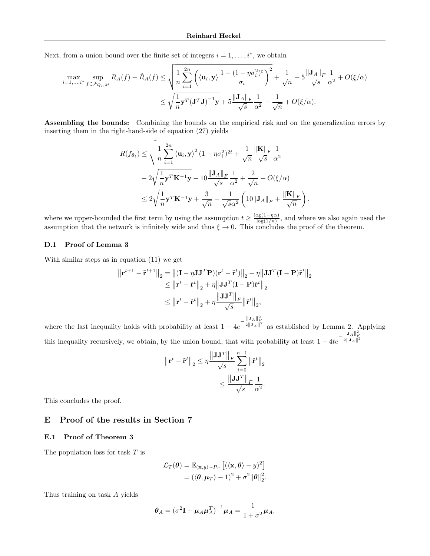Next, from a union bound over the finite set of integers  $i = 1, \ldots, i^*$ , we obtain

$$
\max_{i=1,\dots,i^*} \sup_{f \in \mathcal{F}_{Q_i,M}} R_A(f) - \hat{R}_A(f) \le \sqrt{\frac{1}{n} \sum_{i=1}^{2n} \left( \langle \mathbf{u}_i, \mathbf{y} \rangle \frac{1 - (1 - \eta \sigma_i^2)^t}{\sigma_i} \right)^2} + \frac{1}{\sqrt{n}} + 5 \frac{\|\mathbf{J}_A\|_F}{\sqrt{s}} \frac{1}{\alpha^2} + O(\xi/\alpha)
$$

$$
\le \sqrt{\frac{1}{n} \mathbf{y}^T (\mathbf{J}^T \mathbf{J})^{-1} \mathbf{y}} + 5 \frac{\|\mathbf{J}_A\|_F}{\sqrt{s}} \frac{1}{\alpha^2} + \frac{1}{\sqrt{n}} + O(\xi/\alpha).
$$

Assembling the bounds: Combining the bounds on the empirical risk and on the generalization errors by inserting them in the right-hand-side of equation (27) yields

$$
R(f_{\theta_t}) \leq \sqrt{\frac{1}{n} \sum_{i=1}^{2n} \langle \mathbf{u}_i, \mathbf{y} \rangle^2 (1 - \eta \sigma_i^2)^{2t}} + \frac{1}{\sqrt{n}} \frac{\|\mathbf{K}\|_F}{\sqrt{s}} \frac{1}{\alpha^2}
$$
  
+ 
$$
2\sqrt{\frac{1}{n} \mathbf{y}^T \mathbf{K}^{-1} \mathbf{y}} + 10 \frac{\|\mathbf{J}_A\|_F}{\sqrt{s}} \frac{1}{\alpha^2} + \frac{2}{\sqrt{n}} + O(\xi/\alpha)
$$
  

$$
\leq 2\sqrt{\frac{1}{n} \mathbf{y}^T \mathbf{K}^{-1} \mathbf{y}} + \frac{3}{\sqrt{n}} + \frac{1}{\sqrt{s}\alpha^2} \left(10\|\mathbf{J}_A\|_F + \frac{\|\mathbf{K}\|_F}{\sqrt{n}}\right)
$$

where we upper-bounded the first term by using the assumption  $t \geq \frac{\log(1-\eta\alpha)}{\log(1/n)}$  $\frac{\log(1-\eta\alpha)}{\log(1/n)}$ , and where we also again used the assumption that the network is infinitely wide and thus  $\xi \to 0$ . This concludes the proof of the theorem.

,

#### D.1 Proof of Lemma 3

With similar steps as in equation (11) we get

$$
\|\mathbf{r}^{t+1} - \tilde{\mathbf{r}}^{t+1}\|_2 = \left\|(\mathbf{I} - \eta \mathbf{J} \mathbf{J}^T \mathbf{P})(\mathbf{r}^t - \tilde{\mathbf{r}}^t)\right\|_2 + \eta \left\|\mathbf{J} \mathbf{J}^T (\mathbf{I} - \mathbf{P})\tilde{\mathbf{r}}^t\right\|_2
$$
  
\n
$$
\leq \left\|\mathbf{r}^t - \tilde{\mathbf{r}}^t\right\|_2 + \eta \left\|\mathbf{J} \mathbf{J}^T (\mathbf{I} - \mathbf{P})\tilde{\mathbf{r}}^t\right\|_2
$$
  
\n
$$
\leq \left\|\mathbf{r}^t - \tilde{\mathbf{r}}^t\right\|_2 + \eta \frac{\left\|\mathbf{J} \mathbf{J}^T\right\|_F}{\sqrt{s}} \left\|\tilde{\mathbf{r}}^t\right\|_2,
$$

where the last inequality holds with probability at least  $1 - 4e^{-\frac{||\mathbf{J}_A||_F^2}{2||\mathbf{J}_A||^2}}$  as established by Lemma 2. Applying this inequality recursively, we obtain, by the union bound, that with probability at least  $1 - 4te^{-\frac{\|\mathbf{J}_A\|_F^2}{2\|\mathbf{J}_A\|^2}}$ 

$$
\begin{aligned} \left\| \mathbf{r}^{t} - \tilde{\mathbf{r}}^{t} \right\|_{2} &\leq \eta \frac{\left\| \mathbf{J} \mathbf{J}^{T} \right\|_{F}}{\sqrt{s}} \sum_{i=0}^{n-1} \left\| \tilde{\mathbf{r}}^{t} \right\|_{2} \\ &\leq \frac{\left\| \mathbf{J} \mathbf{J}^{T} \right\|_{F}}{\sqrt{s}} \frac{1}{\alpha^{2}}. \end{aligned}
$$

This concludes the proof.

## E Proof of the results in Section 7

#### E.1 Proof of Theorem 3

The population loss for task  $T$  is

$$
\mathcal{L}_T(\boldsymbol{\theta}) = \mathbb{E}_{(\mathbf{x}, y) \sim P_T} [(\langle \mathbf{x}, \boldsymbol{\theta} \rangle - y)^2]
$$
  
=  $(\langle \boldsymbol{\theta}, \boldsymbol{\mu}_T \rangle - 1)^2 + \sigma^2 ||\boldsymbol{\theta}||_2^2$ .

Thus training on task A yields

$$
\boldsymbol{\theta}_A = (\sigma^2 \mathbf{I} + \boldsymbol{\mu}_A \boldsymbol{\mu}_A^T)^{-1} \boldsymbol{\mu}_A = \frac{1}{1 + \sigma^2} \boldsymbol{\mu}_A,
$$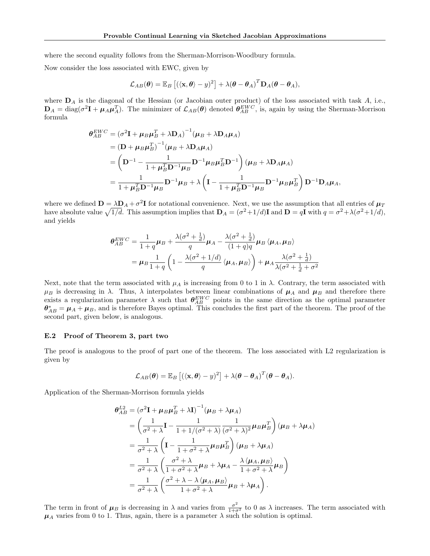where the second equality follows from the Sherman-Morrison-Woodbury formula.

Now consider the loss associated with EWC, given by

$$
\mathcal{L}_{AB}(\boldsymbol{\theta}) = \mathbb{E}_B [(\langle \mathbf{x}, \boldsymbol{\theta} \rangle - y)^2] + \lambda (\boldsymbol{\theta} - \boldsymbol{\theta}_A)^T \mathbf{D}_A (\boldsymbol{\theta} - \boldsymbol{\theta}_A),
$$

where  $\mathbf{D}_A$  is the diagonal of the Hessian (or Jacobian outer product) of the loss associated with task  $A$ , i.e.,  $\mathbf{D}_A = \text{diag}(\sigma^2 \mathbf{I} + \boldsymbol{\mu}_A \boldsymbol{\mu}_A^T)$ . The minimizer of  $\mathcal{L}_{AB}(\boldsymbol{\theta})$  denoted  $\boldsymbol{\theta}_{AB}^{EWC}$ , is, again by using the Sherman-Morrison formula

$$
\theta_{AB}^{EWC} = (\sigma^2 \mathbf{I} + \mu_B \mu_B^T + \lambda \mathbf{D}_A)^{-1} (\mu_B + \lambda \mathbf{D}_A \mu_A)
$$
  
=  $(\mathbf{D} + \mu_B \mu_B^T)^{-1} (\mu_B + \lambda \mathbf{D}_A \mu_A)$   
=  $(\mathbf{D}^{-1} - \frac{1}{1 + \mu_B^T \mathbf{D}^{-1} \mu_B} \mathbf{D}^{-1} \mu_B \mu_B^T \mathbf{D}^{-1}) (\mu_B + \lambda \mathbf{D}_A \mu_A)$   
=  $\frac{1}{1 + \mu_B^T \mathbf{D}^{-1} \mu_B} \mathbf{D}^{-1} \mu_B + \lambda \left( \mathbf{I} - \frac{1}{1 + \mu_B^T \mathbf{D}^{-1} \mu_B} \mathbf{D}^{-1} \mu_B \mu_B^T \right) \mathbf{D}^{-1} \mathbf{D}_A \mu_A$ ,

where we defined  $D = \lambda D_A + \sigma^2 I$  for notational convenience. Next, we use the assumption that all entries of  $\mu_I$ have absolute value  $\sqrt{1/d}$ . This assumption implies that  $\mathbf{D}_A = (\sigma^2 + 1/d)\mathbf{I}$  and  $\mathbf{D} = q\mathbf{I}$  with  $q = \sigma^2 + \lambda(\sigma^2 + 1/d)$ , and yields

$$
\theta_{AB}^{EWC} = \frac{1}{1+q} \mu_B + \frac{\lambda(\sigma^2 + \frac{1}{d})}{q} \mu_A - \frac{\lambda(\sigma^2 + \frac{1}{d})}{(1+q)q} \mu_B \langle \mu_A, \mu_B \rangle
$$
  
= 
$$
\mu_B \frac{1}{1+q} \left( 1 - \frac{\lambda(\sigma^2 + 1/d)}{q} \langle \mu_A, \mu_B \rangle \right) + \mu_A \frac{\lambda(\sigma^2 + \frac{1}{d})}{\lambda(\sigma^2 + \frac{1}{d} + \sigma^2)}
$$

Next, note that the term associated with  $\mu_A$  is increasing from 0 to 1 in  $\lambda$ . Contrary, the term associated with  $\mu_B$  is decreasing in  $\lambda$ . Thus,  $\lambda$  interpolates between linear combinations of  $\mu_A$  and  $\mu_B$  and therefore there exists a regularization parameter  $\lambda$  such that  $\theta_{AB}^{EWC}$  points in the same direction as the optimal parameter  $\theta_{AB}^* = \mu_A + \mu_B$ , and is therefore Bayes optimal. This concludes the first part of the theorem. The proof of the second part, given below, is analogous.

#### E.2 Proof of Theorem 3, part two

The proof is analogous to the proof of part one of the theorem. The loss associated with L2 regularization is given by

$$
\mathcal{L}_{AB}(\boldsymbol{\theta}) = \mathbb{E}_B [(\langle \mathbf{x}, \boldsymbol{\theta} \rangle - y)^2] + \lambda (\boldsymbol{\theta} - \boldsymbol{\theta}_A)^T (\boldsymbol{\theta} - \boldsymbol{\theta}_A).
$$

Application of the Sherman-Morrison formula yields

$$
\theta_{AB}^{L2} = (\sigma^2 \mathbf{I} + \mu_B \mu_B^T + \lambda \mathbf{I})^{-1} (\mu_B + \lambda \mu_A)
$$
  
\n
$$
= \left(\frac{1}{\sigma^2 + \lambda} \mathbf{I} - \frac{1}{1 + 1/(\sigma^2 + \lambda)} \frac{1}{(\sigma^2 + \lambda)^2} \mu_B \mu_B^T\right) (\mu_B + \lambda \mu_A)
$$
  
\n
$$
= \frac{1}{\sigma^2 + \lambda} \left(\mathbf{I} - \frac{1}{1 + \sigma^2 + \lambda} \mu_B \mu_B^T\right) (\mu_B + \lambda \mu_A)
$$
  
\n
$$
= \frac{1}{\sigma^2 + \lambda} \left(\frac{\sigma^2 + \lambda}{1 + \sigma^2 + \lambda} \mu_B + \lambda \mu_A - \frac{\lambda \langle \mu_A, \mu_B \rangle}{1 + \sigma^2 + \lambda} \mu_B\right)
$$
  
\n
$$
= \frac{1}{\sigma^2 + \lambda} \left(\frac{\sigma^2 + \lambda - \lambda \langle \mu_A, \mu_B \rangle}{1 + \sigma^2 + \lambda} \mu_B + \lambda \mu_A\right).
$$

The term in front of  $\mu_B$  is decreasing in  $\lambda$  and varies from  $\frac{\sigma^2}{1+\sigma^2}$  to 0 as  $\lambda$  increases. The term associated with  $\mu_A$  varies from 0 to 1. Thus, again, there is a parameter  $\lambda$  such the solution is optimal.